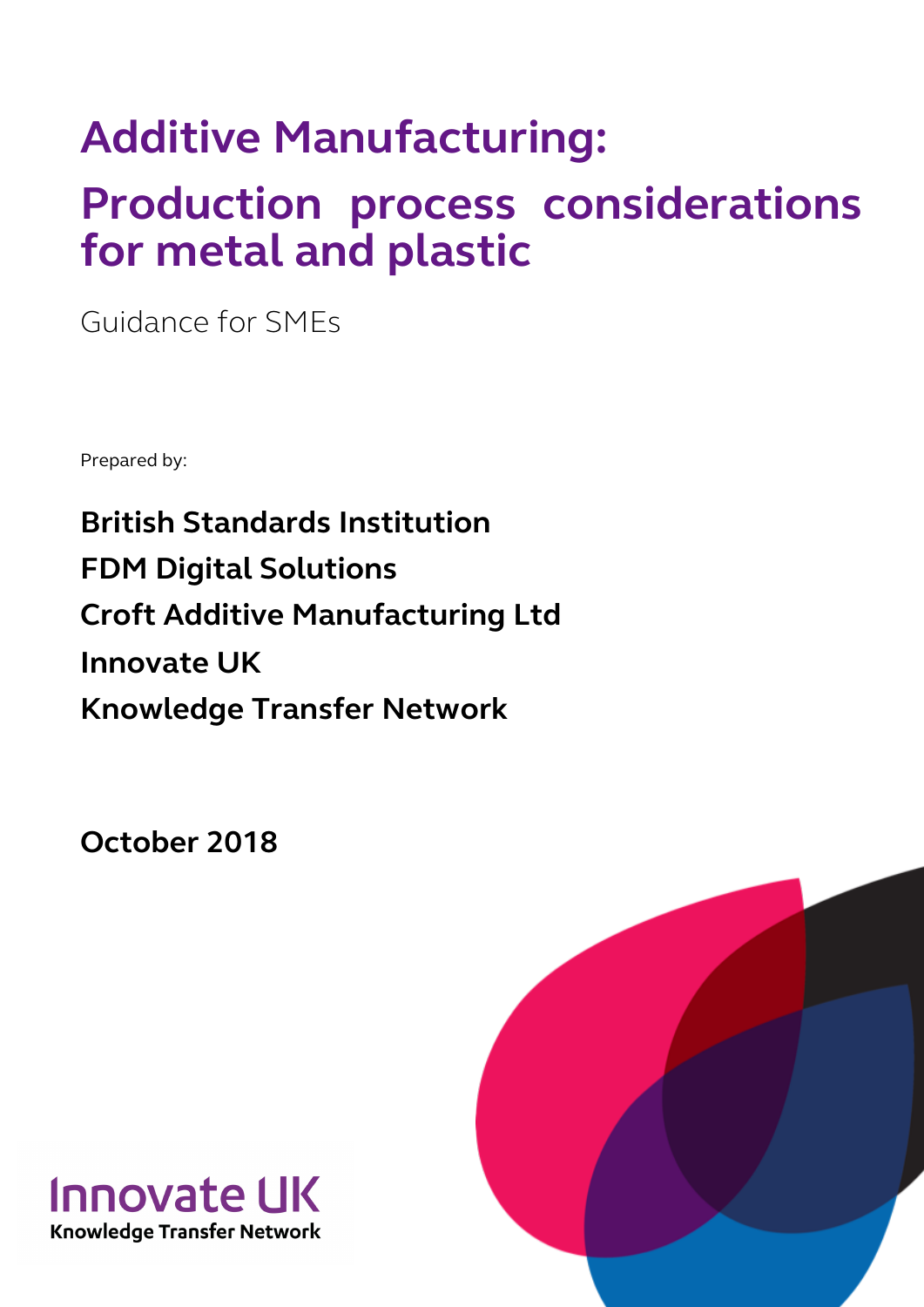# **Additive Manufacturing:**

# **Production process considerations for metal and plastic**

Guidance for SMEs

Prepared by:

**British Standards Institution FDM Digital Solutions Croft Additive Manufacturing Ltd Innovate UK Knowledge Transfer Network**

**October 2018**



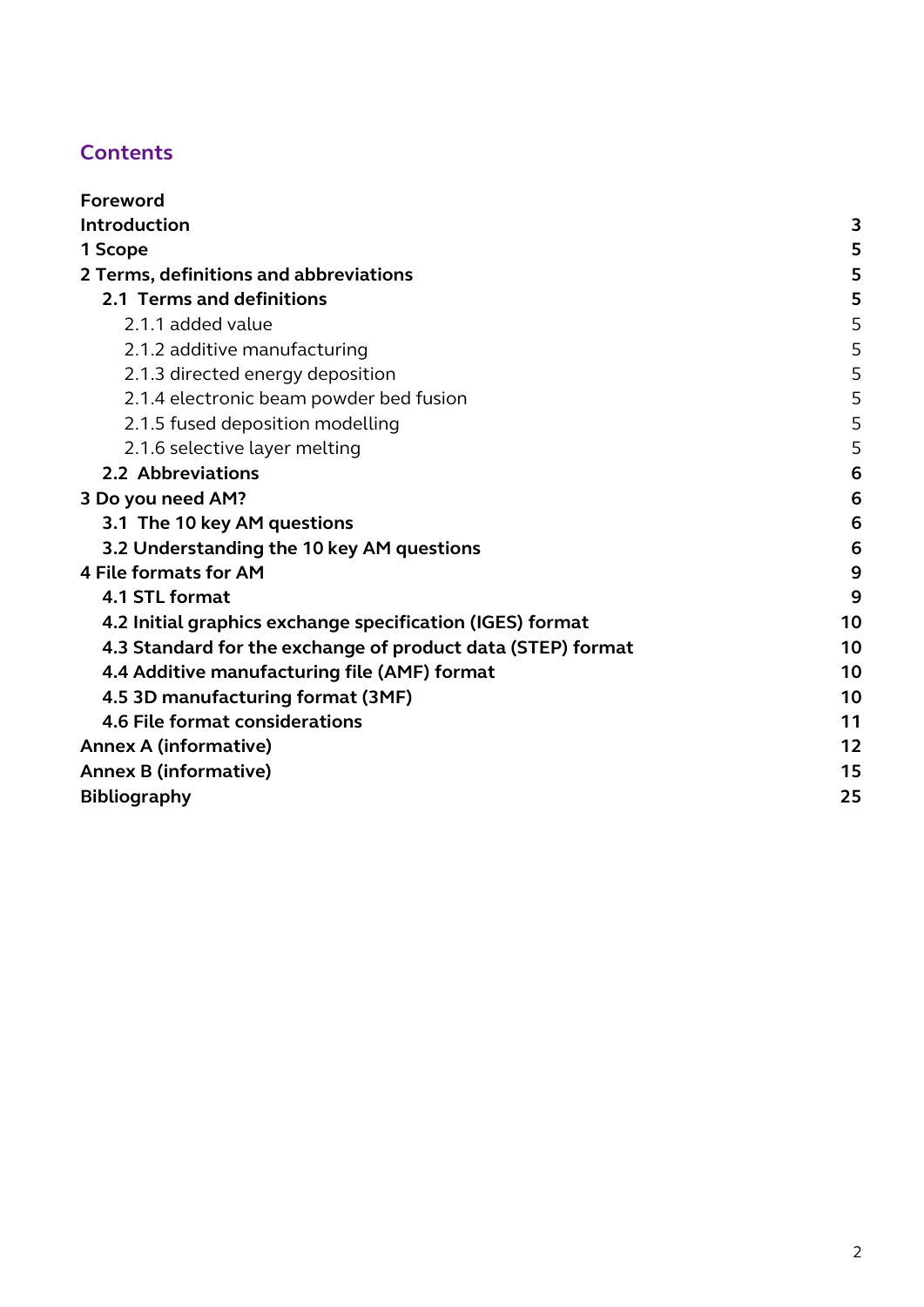### **Contents**

| Foreword                                                    |    |
|-------------------------------------------------------------|----|
| Introduction                                                | 3  |
| 1 Scope                                                     | 5  |
| 2 Terms, definitions and abbreviations                      | 5  |
| 2.1 Terms and definitions                                   | 5  |
| 2.1.1 added value                                           | 5  |
| 2.1.2 additive manufacturing                                | 5  |
| 2.1.3 directed energy deposition                            | 5  |
| 2.1.4 electronic beam powder bed fusion                     | 5  |
| 2.1.5 fused deposition modelling                            | 5  |
| 2.1.6 selective layer melting                               | 5  |
| 2.2 Abbreviations                                           | 6  |
| 3 Do you need AM?                                           | 6  |
| 3.1 The 10 key AM questions                                 | 6  |
| 3.2 Understanding the 10 key AM questions                   | 6  |
| <b>4 File formats for AM</b>                                | 9  |
| 4.1 STL format                                              | 9  |
| 4.2 Initial graphics exchange specification (IGES) format   | 10 |
| 4.3 Standard for the exchange of product data (STEP) format | 10 |
| 4.4 Additive manufacturing file (AMF) format                | 10 |
| 4.5 3D manufacturing format (3MF)                           | 10 |
| 4.6 File format considerations                              | 11 |
| <b>Annex A (informative)</b>                                |    |
| <b>Annex B (informative)</b>                                | 15 |
| <b>Bibliography</b>                                         | 25 |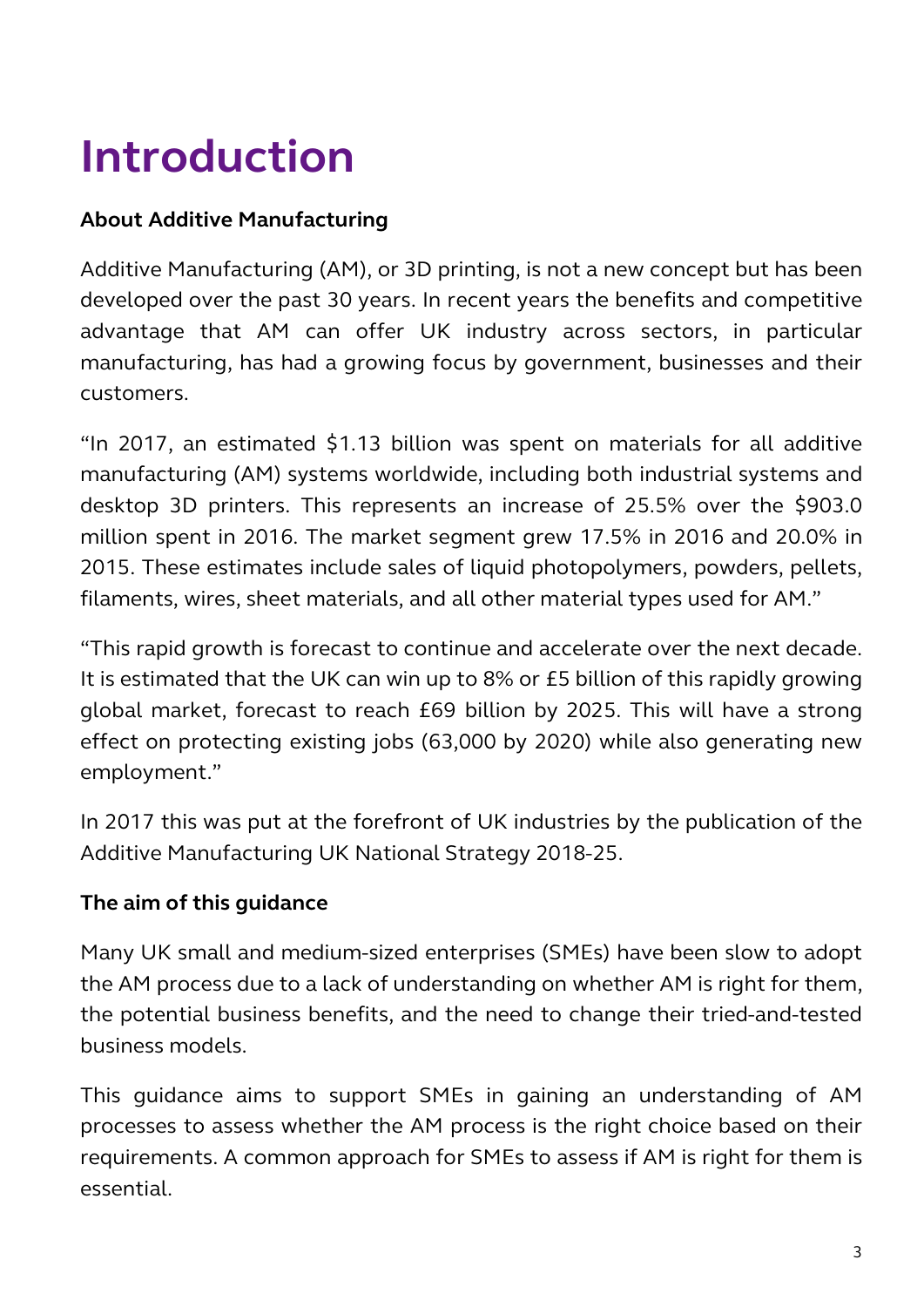# <span id="page-2-0"></span>**Introduction**

### **About Additive Manufacturing**

Additive Manufacturing (AM), or 3D printing, is not a new concept but has been developed over the past 30 years. In recent years the benefits and competitive advantage that AM can offer UK industry across sectors, in particular manufacturing, has had a growing focus by government, businesses and their customers.

"In 2017, an estimated \$1.13 billion was spent on materials for all additive manufacturing (AM) systems worldwide, including both industrial systems and desktop 3D printers. This represents an increase of 25.5% over the \$903.0 million spent in 2016. The market segment grew 17.5% in 2016 and 20.0% in 2015. These estimates include sales of liquid photopolymers, powders, pellets, filaments, wires, sheet materials, and all other material types used for AM."

"This rapid growth is forecast to continue and accelerate over the next decade. It is estimated that the UK can win up to 8% or £5 billion of this rapidly growing global market, forecast to reach £69 billion by 2025. This will have a strong effect on protecting existing jobs (63,000 by 2020) while also generating new employment."

In 2017 this was put at the forefront of UK industries by the publication of the Additive Manufacturing UK National Strategy 2018-25.

### **The aim of this guidance**

Many UK small and medium-sized enterprises (SMEs) have been slow to adopt the AM process due to a lack of understanding on whether AM is right for them, the potential business benefits, and the need to change their tried-and-tested business models.

This guidance aims to support SMEs in gaining an understanding of AM processes to assess whether the AM process is the right choice based on their requirements. A common approach for SMEs to assess if AM is right for them is essential.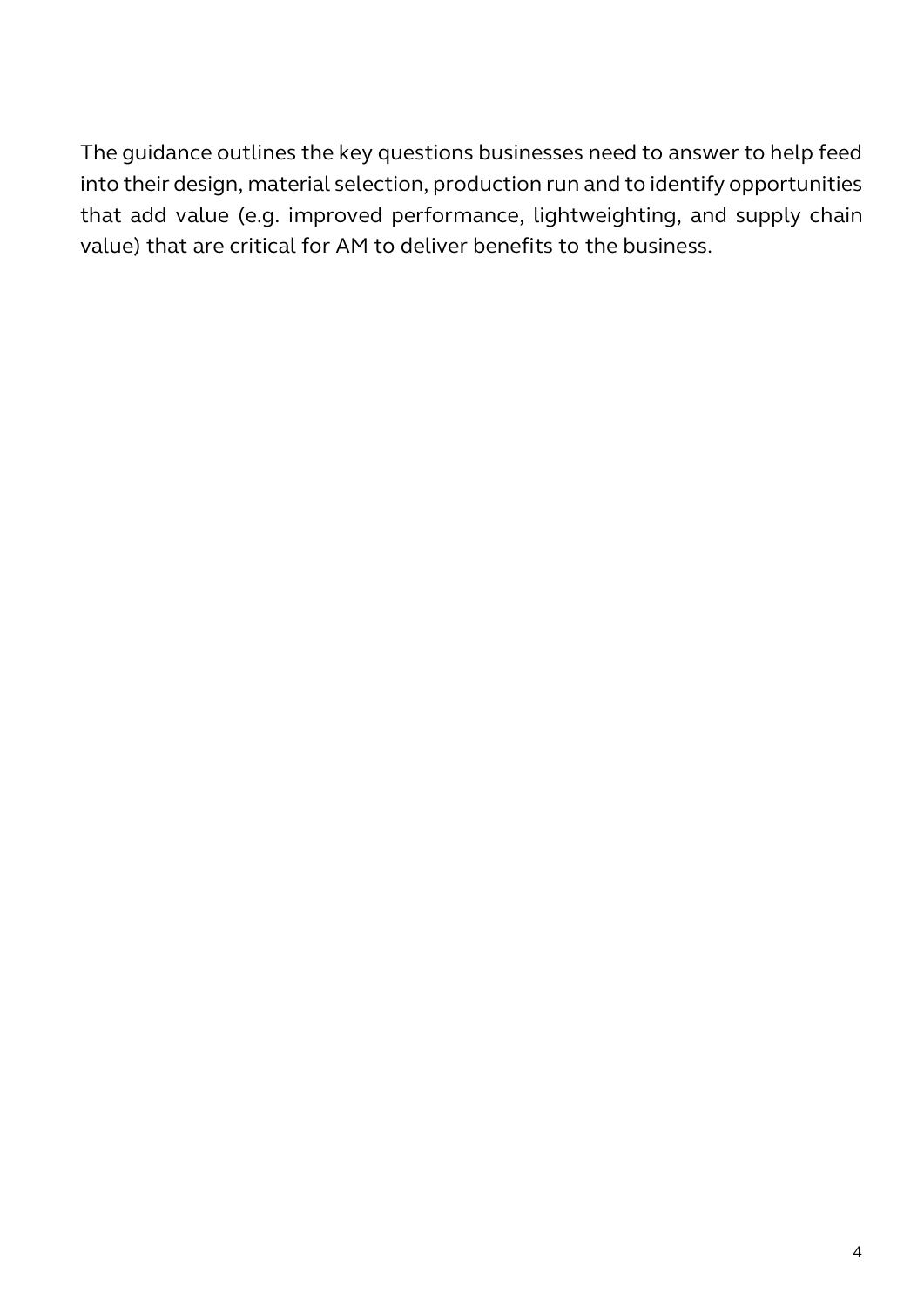The guidance outlines the key questions businesses need to answer to help feed into their design, material selection, production run and to identify opportunities that add value (e.g. improved performance, lightweighting, and supply chain value) that are critical for AM to deliver benefits to the business.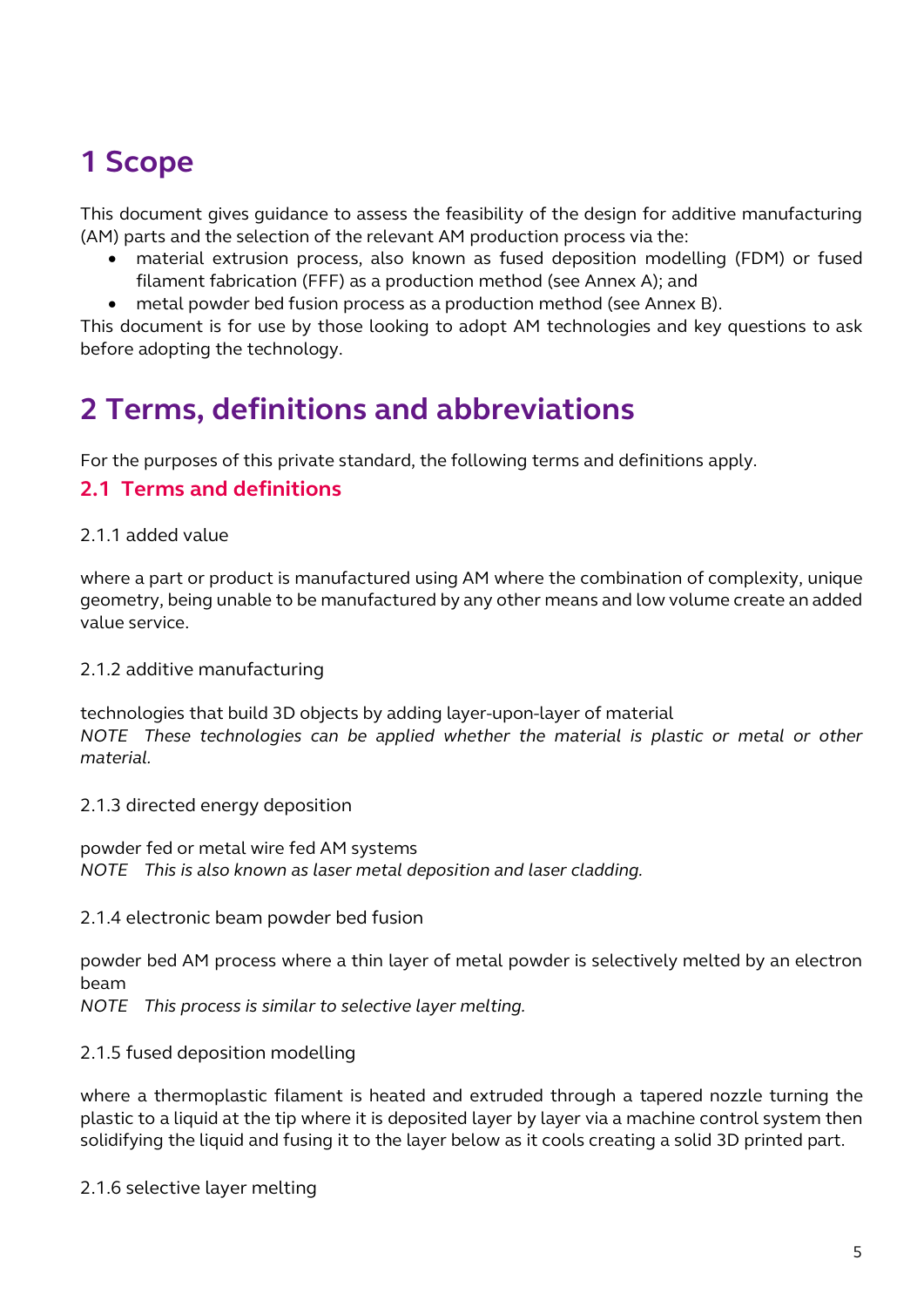## <span id="page-4-0"></span>**1 Scope**

This document gives guidance to assess the feasibility of the design for additive manufacturing (AM) parts and the selection of the relevant AM production process via the:

- material extrusion process, also known as fused deposition modelling (FDM) or fused filament fabrication (FFF) as a production method (see Annex A); and
- <span id="page-4-1"></span>• metal powder bed fusion process as a production method (see Annex B).

This document is for use by those looking to adopt AM technologies and key questions to ask before adopting the technology.

## **2 Terms, definitions and abbreviations**

For the purposes of this private standard, the following terms and definitions apply.

### <span id="page-4-2"></span>**2.1 Terms and definitions**

#### <span id="page-4-3"></span>2.1.1 added value

where a part or product is manufactured using AM where the combination of complexity, unique geometry, being unable to be manufactured by any other means and low volume create an added value service.

#### <span id="page-4-4"></span>2.1.2 additive manufacturing

technologies that build 3D objects by adding layer-upon-layer of material *NOTE These technologies can be applied whether the material is plastic or metal or other material.*

#### <span id="page-4-5"></span>2.1.3 directed energy deposition

powder fed or metal wire fed AM systems *NOTE This is also known as laser metal deposition and laser cladding.*

#### <span id="page-4-6"></span>2.1.4 electronic beam powder bed fusion

powder bed AM process where a thin layer of metal powder is selectively melted by an electron beam

*NOTE This process is similar to selective layer melting.*

#### <span id="page-4-7"></span>2.1.5 fused deposition modelling

where a thermoplastic filament is heated and extruded through a tapered nozzle turning the plastic to a liquid at the tip where it is deposited layer by layer via a machine control system then solidifying the liquid and fusing it to the layer below as it cools creating a solid 3D printed part.

<span id="page-4-8"></span>2.1.6 selective layer melting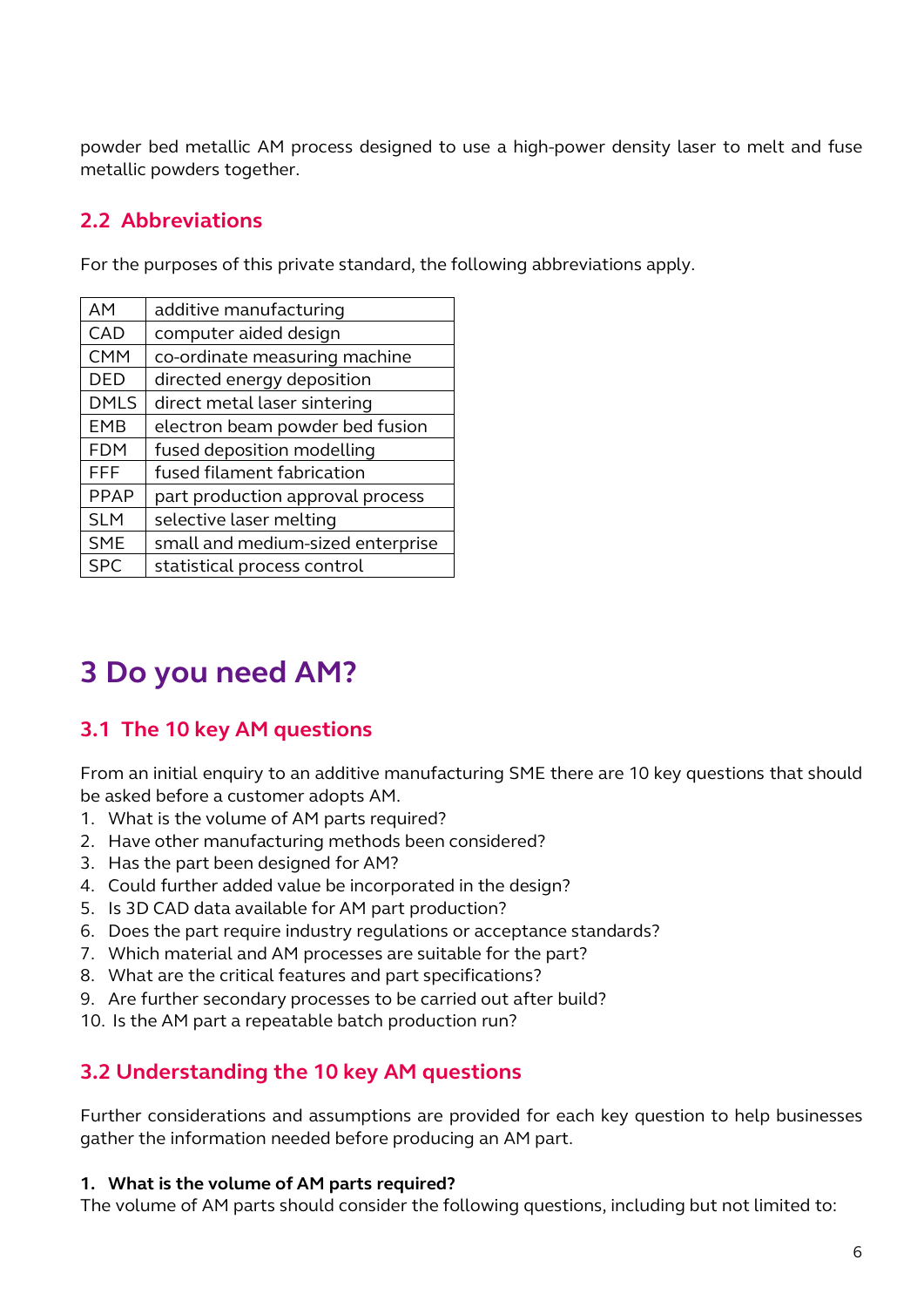powder bed metallic AM process designed to use a high-power density laser to melt and fuse metallic powders together.

### <span id="page-5-0"></span>**2.2 Abbreviations**

For the purposes of this private standard, the following abbreviations apply.

| <b>AM</b>   | additive manufacturing            |
|-------------|-----------------------------------|
| CAD         | computer aided design             |
| <b>CMM</b>  | co-ordinate measuring machine     |
| <b>DED</b>  | directed energy deposition        |
| <b>DMLS</b> | direct metal laser sintering      |
| <b>EMB</b>  | electron beam powder bed fusion   |
| <b>FDM</b>  | fused deposition modelling        |
| FFF         | fused filament fabrication        |
| <b>PPAP</b> | part production approval process  |
| <b>SLM</b>  | selective laser melting           |
| <b>SME</b>  | small and medium-sized enterprise |
| <b>SPC</b>  | statistical process control       |

## <span id="page-5-1"></span>**3 Do you need AM?**

### <span id="page-5-2"></span>**3.1 The 10 key AM questions**

From an initial enquiry to an additive manufacturing SME there are 10 key questions that should be asked before a customer adopts AM.

- 1. What is the volume of AM parts required?
- 2. Have other manufacturing methods been considered?
- 3. Has the part been designed for AM?
- 4. Could further added value be incorporated in the design?
- 5. Is 3D CAD data available for AM part production?
- 6. Does the part require industry regulations or acceptance standards?
- 7. Which material and AM processes are suitable for the part?
- 8. What are the critical features and part specifications?
- 9. Are further secondary processes to be carried out after build?
- 10. Is the AM part a repeatable batch production run?

### <span id="page-5-3"></span>**3.2 Understanding the 10 key AM questions**

Further considerations and assumptions are provided for each key question to help businesses gather the information needed before producing an AM part.

#### **1. What is the volume of AM parts required?**

The volume of AM parts should consider the following questions, including but not limited to: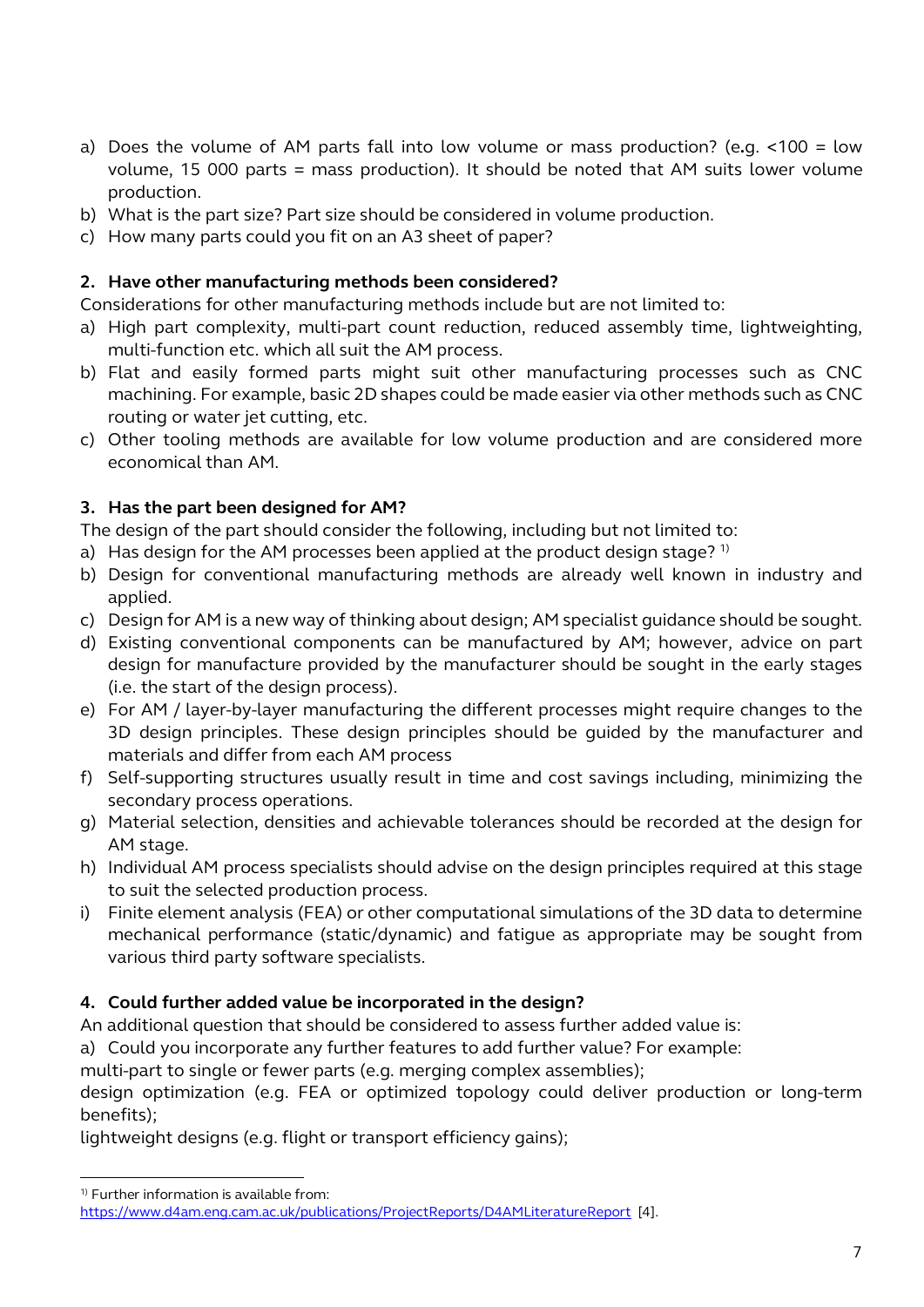- a) Does the volume of AM parts fall into low volume or mass production? (e**.**g. <100 = low volume, 15 000 parts = mass production). It should be noted that AM suits lower volume production.
- b) What is the part size? Part size should be considered in volume production.
- c) How many parts could you fit on an A3 sheet of paper?

#### **2. Have other manufacturing methods been considered?**

Considerations for other manufacturing methods include but are not limited to:

- a) High part complexity, multi-part count reduction, reduced assembly time, lightweighting, multi-function etc. which all suit the AM process.
- b) Flat and easily formed parts might suit other manufacturing processes such as CNC machining. For example, basic 2D shapes could be made easier via other methods such as CNC routing or water jet cutting, etc.
- c) Other tooling methods are available for low volume production and are considered more economical than AM.

#### **3. Has the part been designed for AM?**

The design of the part should consider the following, including but not limited to:

- a) Has design for the AM processes been applied at the product design stage?<sup>1)</sup>
- b) Design for conventional manufacturing methods are already well known in industry and applied.
- c) Design for AM is a new way of thinking about design; AM specialist guidance should be sought.
- d) Existing conventional components can be manufactured by AM; however, advice on part design for manufacture provided by the manufacturer should be sought in the early stages (i.e. the start of the design process).
- e) For AM / layer-by-layer manufacturing the different processes might require changes to the 3D design principles. These design principles should be guided by the manufacturer and materials and differ from each AM process
- f) Self-supporting structures usually result in time and cost savings including, minimizing the secondary process operations.
- g) Material selection, densities and achievable tolerances should be recorded at the design for AM stage.
- h) Individual AM process specialists should advise on the design principles required at this stage to suit the selected production process.
- i) Finite element analysis (FEA) or other computational simulations of the 3D data to determine mechanical performance (static/dynamic) and fatigue as appropriate may be sought from various third party software specialists.

#### **4. Could further added value be incorporated in the design?**

An additional question that should be considered to assess further added value is:

a) Could you incorporate any further features to add further value? For example:

multi-part to single or fewer parts (e.g. merging complex assemblies);

design optimization (e.g. FEA or optimized topology could deliver production or long-term benefits);

lightweight designs (e.g. flight or transport efficiency gains);

-

<sup>&</sup>lt;sup>1)</sup> Further information is available from:

https://www.d4am.eng.cam.ac.uk/publications/ProjectReports/D4AMLiteratureReport [4].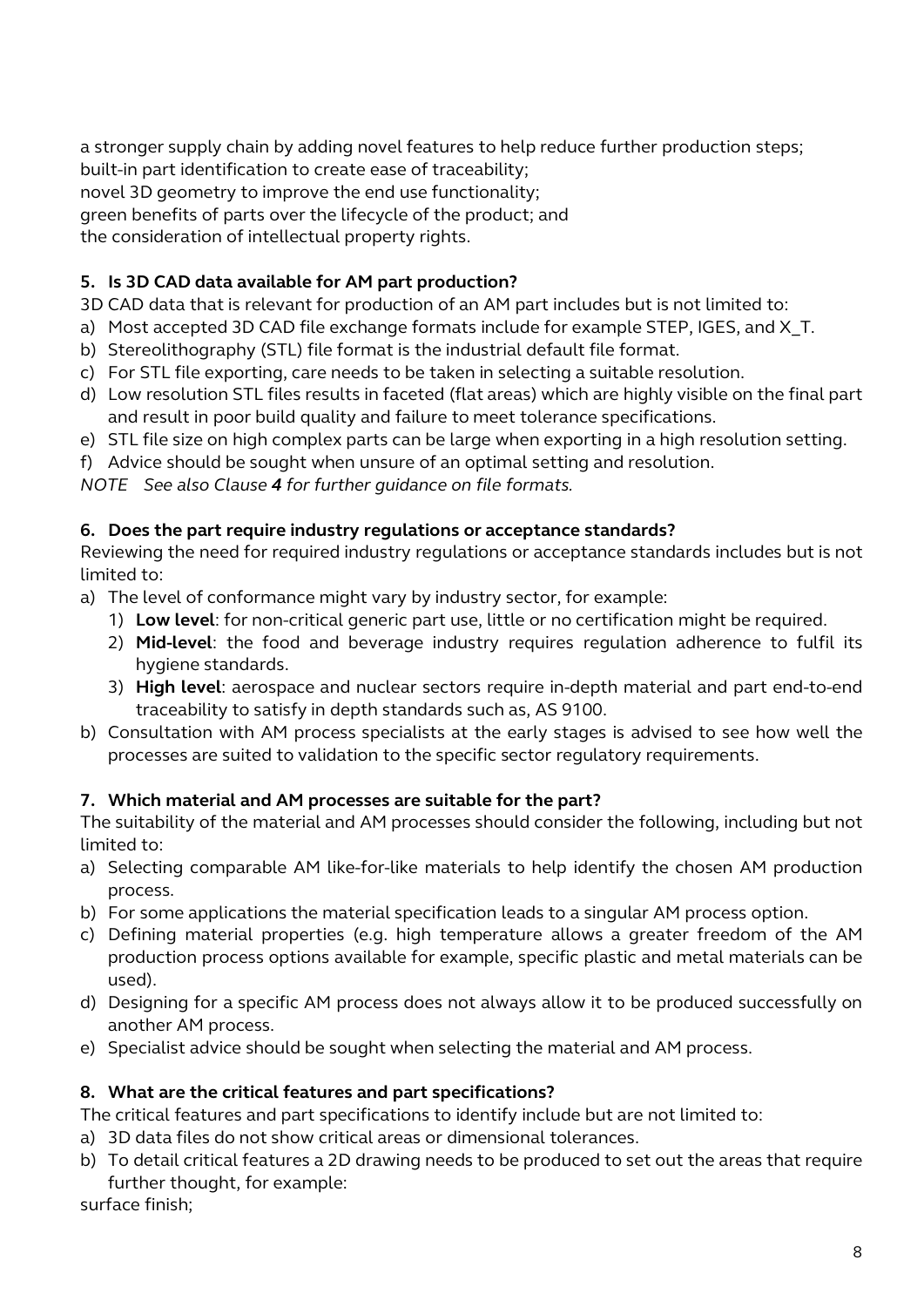a stronger supply chain by adding novel features to help reduce further production steps; built-in part identification to create ease of traceability;

novel 3D geometry to improve the end use functionality;

green benefits of parts over the lifecycle of the product; and

the consideration of intellectual property rights.

### **5. Is 3D CAD data available for AM part production?**

3D CAD data that is relevant for production of an AM part includes but is not limited to:

- a) Most accepted 3D CAD file exchange formats include for example STEP, IGES, and X T.
- b) Stereolithography (STL) file format is the industrial default file format.
- c) For STL file exporting, care needs to be taken in selecting a suitable resolution.
- d) Low resolution STL files results in faceted (flat areas) which are highly visible on the final part and result in poor build quality and failure to meet tolerance specifications.
- e) STL file size on high complex parts can be large when exporting in a high resolution setting.
- f) Advice should be sought when unsure of an optimal setting and resolution.

*NOTE See also Clause 4 for further guidance on file formats.*

#### **6. Does the part require industry regulations or acceptance standards?**

Reviewing the need for required industry regulations or acceptance standards includes but is not limited to:

- a) The level of conformance might vary by industry sector, for example:
	- 1) **Low level**: for non-critical generic part use, little or no certification might be required.
	- 2) **Mid-level**: the food and beverage industry requires regulation adherence to fulfil its hygiene standards.
	- 3) **High level**: aerospace and nuclear sectors require in-depth material and part end-to-end traceability to satisfy in depth standards such as, AS 9100.
- b) Consultation with AM process specialists at the early stages is advised to see how well the processes are suited to validation to the specific sector regulatory requirements.

#### **7. Which material and AM processes are suitable for the part?**

The suitability of the material and AM processes should consider the following, including but not limited to:

- a) Selecting comparable AM like-for-like materials to help identify the chosen AM production process.
- b) For some applications the material specification leads to a singular AM process option.
- c) Defining material properties (e.g. high temperature allows a greater freedom of the AM production process options available for example, specific plastic and metal materials can be used).
- d) Designing for a specific AM process does not always allow it to be produced successfully on another AM process.
- e) Specialist advice should be sought when selecting the material and AM process.

#### **8. What are the critical features and part specifications?**

The critical features and part specifications to identify include but are not limited to:

- a) 3D data files do not show critical areas or dimensional tolerances.
- b) To detail critical features a 2D drawing needs to be produced to set out the areas that require further thought, for example:

surface finish;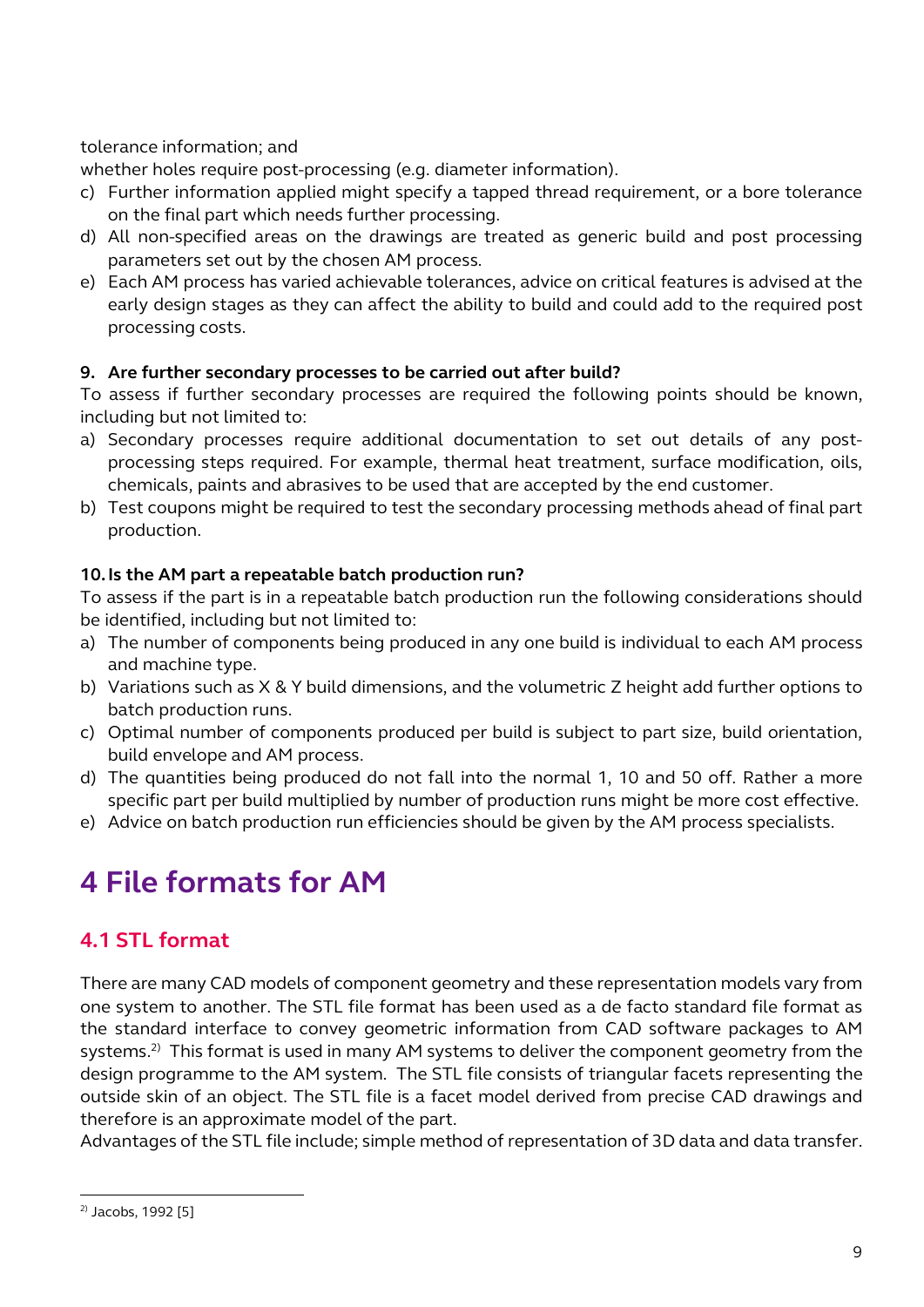tolerance information; and

whether holes require post-processing (e.g. diameter information).

- c) Further information applied might specify a tapped thread requirement, or a bore tolerance on the final part which needs further processing.
- d) All non-specified areas on the drawings are treated as generic build and post processing parameters set out by the chosen AM process.
- e) Each AM process has varied achievable tolerances, advice on critical features is advised at the early design stages as they can affect the ability to build and could add to the required post processing costs.

#### **9. Are further secondary processes to be carried out after build?**

To assess if further secondary processes are required the following points should be known, including but not limited to:

- a) Secondary processes require additional documentation to set out details of any postprocessing steps required. For example, thermal heat treatment, surface modification, oils, chemicals, paints and abrasives to be used that are accepted by the end customer.
- b) Test coupons might be required to test the secondary processing methods ahead of final part production.

#### **10.Is the AM part a repeatable batch production run?**

To assess if the part is in a repeatable batch production run the following considerations should be identified, including but not limited to:

- a) The number of components being produced in any one build is individual to each AM process and machine type.
- b) Variations such as X & Y build dimensions, and the volumetric Z height add further options to batch production runs.
- c) Optimal number of components produced per build is subject to part size, build orientation, build envelope and AM process.
- d) The quantities being produced do not fall into the normal 1, 10 and 50 off. Rather a more specific part per build multiplied by number of production runs might be more cost effective.
- e) Advice on batch production run efficiencies should be given by the AM process specialists.

# <span id="page-8-0"></span>**4 File formats for AM**

### <span id="page-8-1"></span>**4.1 STL format**

There are many CAD models of component geometry and these representation models vary from one system to another. The STL file format has been used as a de facto standard file format as the standard interface to convey geometric information from CAD software packages to AM systems. $^{2)}$  This format is used in many AM systems to deliver the component geometry from the design programme to the AM system. The STL file consists of triangular facets representing the outside skin of an object. The STL file is a facet model derived from precise CAD drawings and therefore is an approximate model of the part.

Advantages of the STL file include; simple method of representation of 3D data and data transfer.

-

 $2)$  Jacobs, 1992 [5]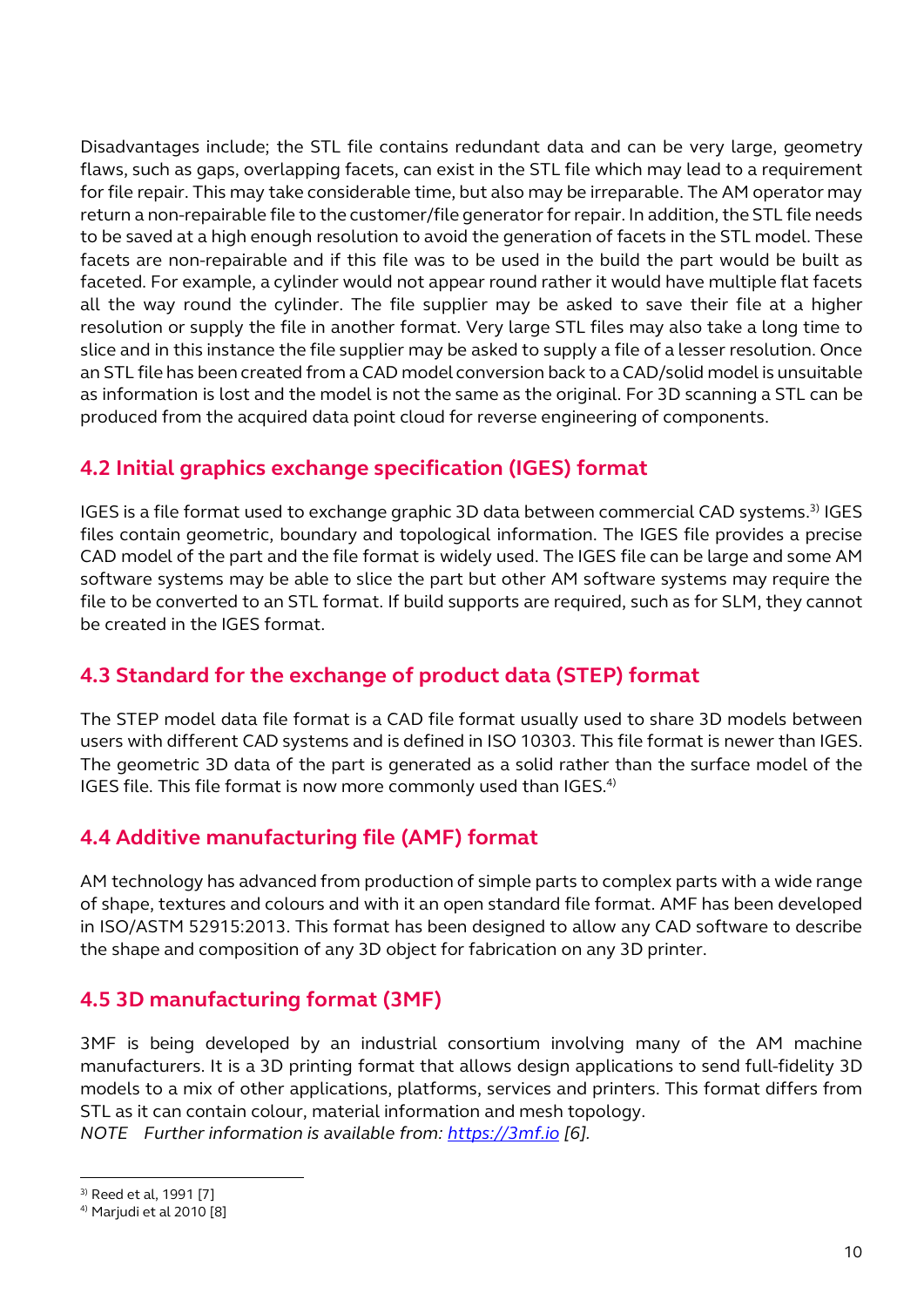Disadvantages include; the STL file contains redundant data and can be very large, geometry flaws, such as gaps, overlapping facets, can exist in the STL file which may lead to a requirement for file repair. This may take considerable time, but also may be irreparable. The AM operator may return a non-repairable file to the customer/file generator for repair. In addition, the STL file needs to be saved at a high enough resolution to avoid the generation of facets in the STL model. These facets are non-repairable and if this file was to be used in the build the part would be built as faceted. For example, a cylinder would not appear round rather it would have multiple flat facets all the way round the cylinder. The file supplier may be asked to save their file at a higher resolution or supply the file in another format. Very large STL files may also take a long time to slice and in this instance the file supplier may be asked to supply a file of a lesser resolution. Once an STL file has been created from a CAD model conversion back to a CAD/solid model is unsuitable as information is lost and the model is not the same as the original. For 3D scanning a STL can be produced from the acquired data point cloud for reverse engineering of components.

### <span id="page-9-0"></span>**4.2 Initial graphics exchange specification (IGES) format**

IGES is a file format used to exchange graphic 3D data between commercial CAD systems.3) IGES files contain geometric, boundary and topological information. The IGES file provides a precise CAD model of the part and the file format is widely used. The IGES file can be large and some AM software systems may be able to slice the part but other AM software systems may require the file to be converted to an STL format. If build supports are required, such as for SLM, they cannot be created in the IGES format.

### <span id="page-9-1"></span>**4.3 Standard for the exchange of product data (STEP) format**

The STEP model data file format is a CAD file format usually used to share 3D models between users with different CAD systems and is defined in ISO 10303. This file format is newer than IGES. The geometric 3D data of the part is generated as a solid rather than the surface model of the IGES file. This file format is now more commonly used than IGES. $4$ )

### <span id="page-9-2"></span>**4.4 Additive manufacturing file (AMF) format**

AM technology has advanced from production of simple parts to complex parts with a wide range of shape, textures and colours and with it an open standard file format. AMF has been developed in ISO/ASTM 52915:2013. This format has been designed to allow any CAD software to describe the shape and composition of any 3D object for fabrication on any 3D printer.

### <span id="page-9-3"></span>**4.5 3D manufacturing format (3MF)**

3MF is being developed by an industrial consortium involving many of the AM machine manufacturers. It is a 3D printing format that allows design applications to send full-fidelity 3D models to a mix of other applications, platforms, services and printers. This format differs from STL as it can contain colour, material information and mesh topology. *NOTE Further information is available from: https://3mf.io [\[6\].](https://3mf.io/)*

-

<sup>3)</sup> Reed et al, 1991 [7]

<sup>&</sup>lt;sup>4)</sup> Marjudi et al 2010 [8]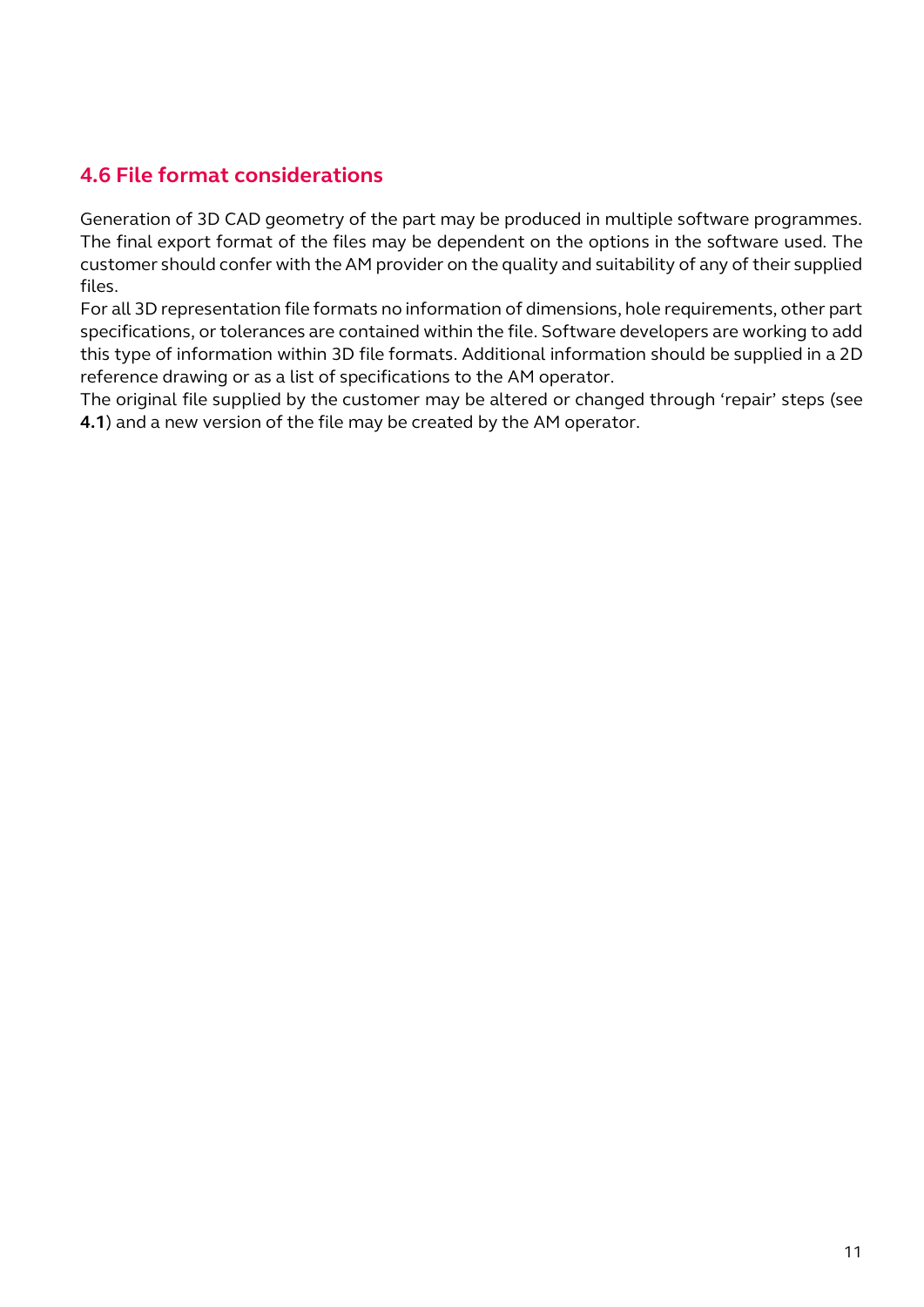### <span id="page-10-0"></span>**[4.6](https://3mf.io/) File format considerations**

Generation of 3D CAD geometry of the part may be produced in multiple software programmes. The final export format of the files may be dependent on the options in the software used. The customer should confer with the AM provider on the quality and suitability of any of their supplied files.

For all 3D representation file formats no information of dimensions, hole requirements, other part specifications, or tolerances are contained within the file. Software developers are working to add this type of information within 3D file formats. Additional information should be supplied in a 2D reference drawing or as a list of specifications to the AM operator.

The original file supplied by the customer may be altered or changed through 'repair' steps (see **4.1**) and a new version of the file may be created by the AM operator.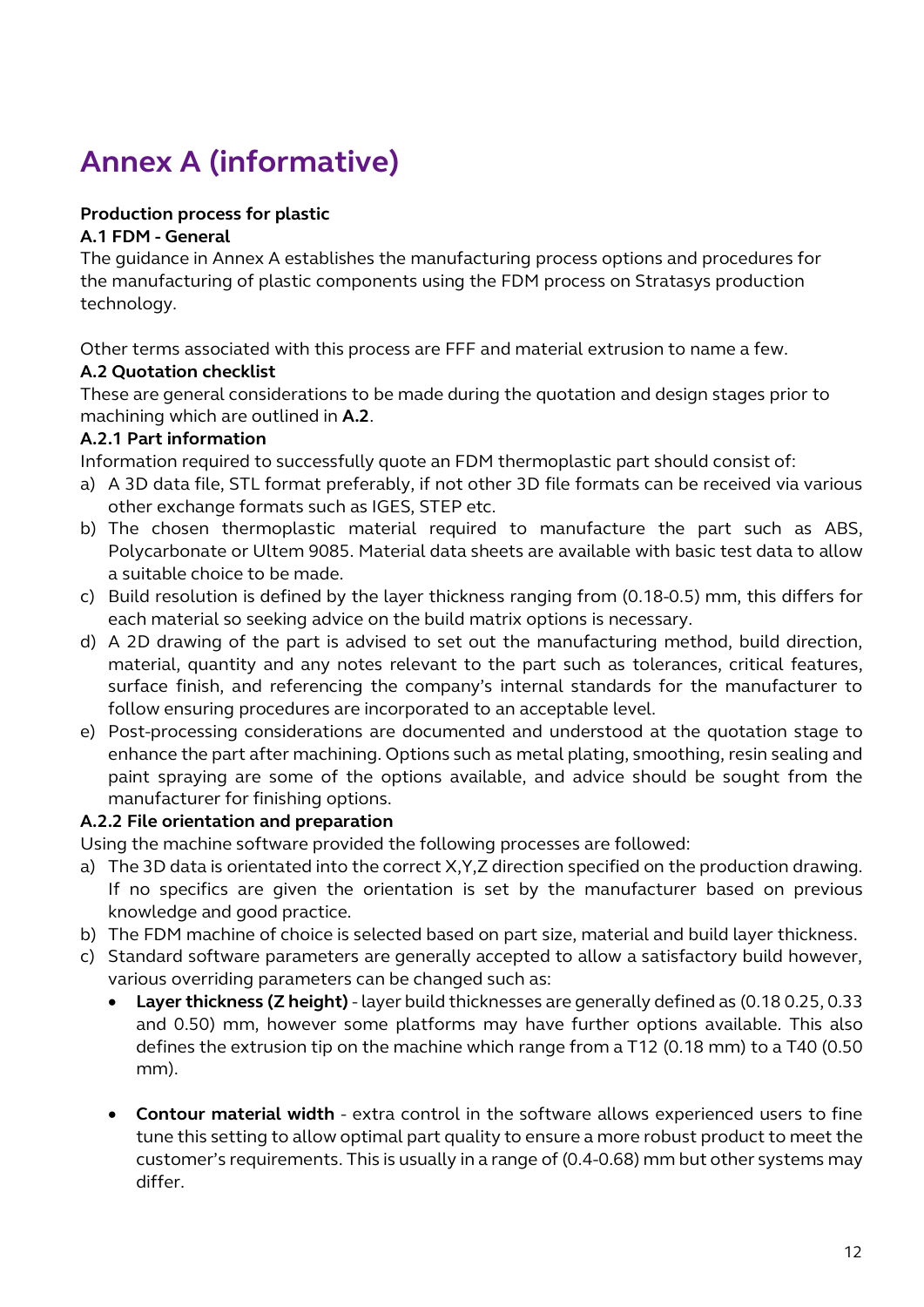# <span id="page-11-0"></span>**Annex A (informative)**

#### **Production process for plastic**

#### **A.1 FDM - General**

The guidance in Annex A establishes the manufacturing process options and procedures for the manufacturing of plastic components using the FDM process on Stratasys production technology.

Other terms associated with this process are FFF and material extrusion to name a few.

#### **A.2 Quotation checklist**

These are general considerations to be made during the quotation and design stages prior to machining which are outlined in **A.2**.

#### **A.2.1 Part information**

Information required to successfully quote an FDM thermoplastic part should consist of:

- a) A 3D data file, STL format preferably, if not other 3D file formats can be received via various other exchange formats such as IGES, STEP etc.
- b) The chosen thermoplastic material required to manufacture the part such as ABS, Polycarbonate or Ultem 9085. Material data sheets are available with basic test data to allow a suitable choice to be made.
- c) Build resolution is defined by the layer thickness ranging from (0.18-0.5) mm, this differs for each material so seeking advice on the build matrix options is necessary.
- d) A 2D drawing of the part is advised to set out the manufacturing method, build direction, material, quantity and any notes relevant to the part such as tolerances, critical features, surface finish, and referencing the company's internal standards for the manufacturer to follow ensuring procedures are incorporated to an acceptable level.
- e) Post-processing considerations are documented and understood at the quotation stage to enhance the part after machining. Options such as metal plating, smoothing, resin sealing and paint spraying are some of the options available, and advice should be sought from the manufacturer for finishing options.

#### **A.2.2 File orientation and preparation**

Using the machine software provided the following processes are followed:

- a) The 3D data is orientated into the correct X,Y,Z direction specified on the production drawing. If no specifics are given the orientation is set by the manufacturer based on previous knowledge and good practice.
- b) The FDM machine of choice is selected based on part size, material and build layer thickness.
- c) Standard software parameters are generally accepted to allow a satisfactory build however, various overriding parameters can be changed such as:
	- **Layer thickness (Z height)**  layer build thicknesses are generally defined as (0.18 0.25, 0.33 and 0.50) mm, however some platforms may have further options available. This also defines the extrusion tip on the machine which range from a T12 (0.18 mm) to a T40 (0.50 mm).
	- **Contour material width** extra control in the software allows experienced users to fine tune this setting to allow optimal part quality to ensure a more robust product to meet the customer's requirements. This is usually in a range of (0.4-0.68) mm but other systems may differ.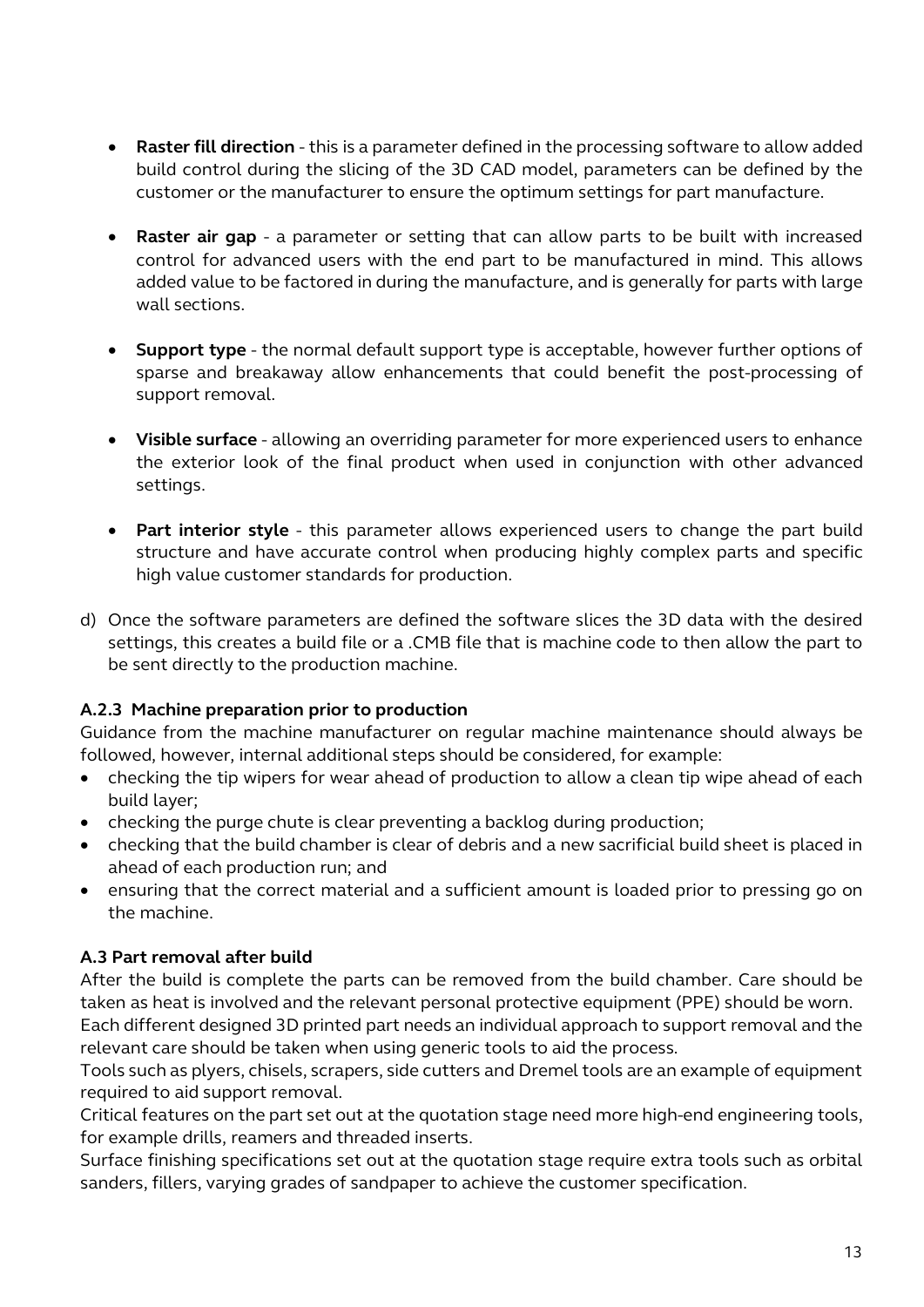- **Raster fill direction** this is a parameter defined in the processing software to allow added build control during the slicing of the 3D CAD model, parameters can be defined by the customer or the manufacturer to ensure the optimum settings for part manufacture.
- **Raster air gap**  a parameter or setting that can allow parts to be built with increased control for advanced users with the end part to be manufactured in mind. This allows added value to be factored in during the manufacture, and is generally for parts with large wall sections.
- **Support type**  the normal default support type is acceptable, however further options of sparse and breakaway allow enhancements that could benefit the post-processing of support removal.
- **Visible surface**  allowing an overriding parameter for more experienced users to enhance the exterior look of the final product when used in conjunction with other advanced settings.
- **Part interior style**  this parameter allows experienced users to change the part build structure and have accurate control when producing highly complex parts and specific high value customer standards for production.
- d) Once the software parameters are defined the software slices the 3D data with the desired settings, this creates a build file or a .CMB file that is machine code to then allow the part to be sent directly to the production machine.

#### **A.2.3 Machine preparation prior to production**

Guidance from the machine manufacturer on regular machine maintenance should always be followed, however, internal additional steps should be considered, for example:

- checking the tip wipers for wear ahead of production to allow a clean tip wipe ahead of each build layer;
- checking the purge chute is clear preventing a backlog during production;
- checking that the build chamber is clear of debris and a new sacrificial build sheet is placed in ahead of each production run; and
- ensuring that the correct material and a sufficient amount is loaded prior to pressing go on the machine.

#### **A.3 Part removal after build**

After the build is complete the parts can be removed from the build chamber. Care should be taken as heat is involved and the relevant personal protective equipment (PPE) should be worn. Each different designed 3D printed part needs an individual approach to support removal and the relevant care should be taken when using generic tools to aid the process.

Tools such as plyers, chisels, scrapers, side cutters and Dremel tools are an example of equipment required to aid support removal.

Critical features on the part set out at the quotation stage need more high-end engineering tools, for example drills, reamers and threaded inserts.

Surface finishing specifications set out at the quotation stage require extra tools such as orbital sanders, fillers, varying grades of sandpaper to achieve the customer specification.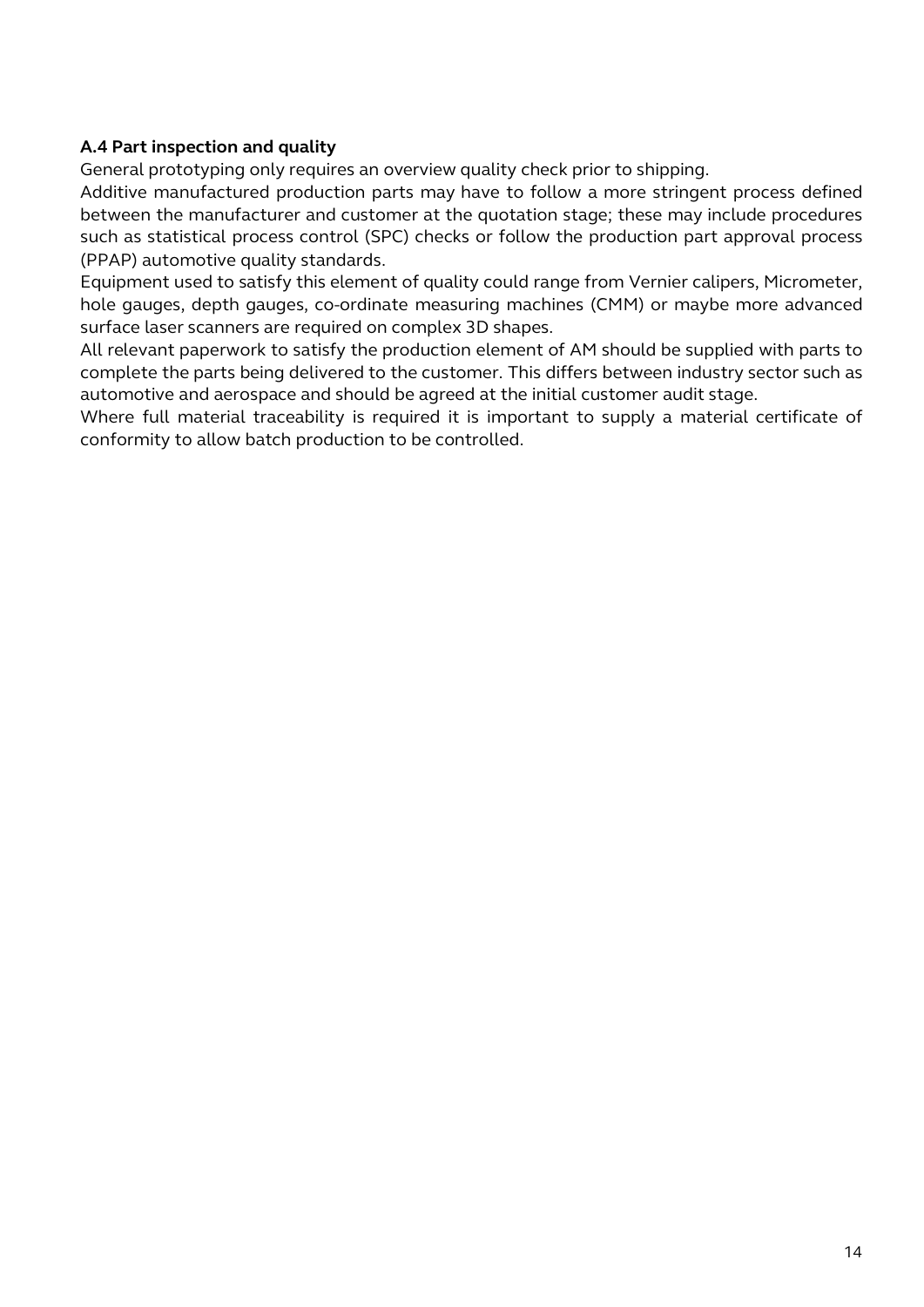#### **A.4 Part inspection and quality**

General prototyping only requires an overview quality check prior to shipping.

Additive manufactured production parts may have to follow a more stringent process defined between the manufacturer and customer at the quotation stage; these may include procedures such as statistical process control (SPC) checks or follow the production part approval process (PPAP) automotive quality standards.

Equipment used to satisfy this element of quality could range from Vernier calipers, Micrometer, hole gauges, depth gauges, co-ordinate measuring machines (CMM) or maybe more advanced surface laser scanners are required on complex 3D shapes.

All relevant paperwork to satisfy the production element of AM should be supplied with parts to complete the parts being delivered to the customer. This differs between industry sector such as automotive and aerospace and should be agreed at the initial customer audit stage.

Where full material traceability is required it is important to supply a material certificate of conformity to allow batch production to be controlled.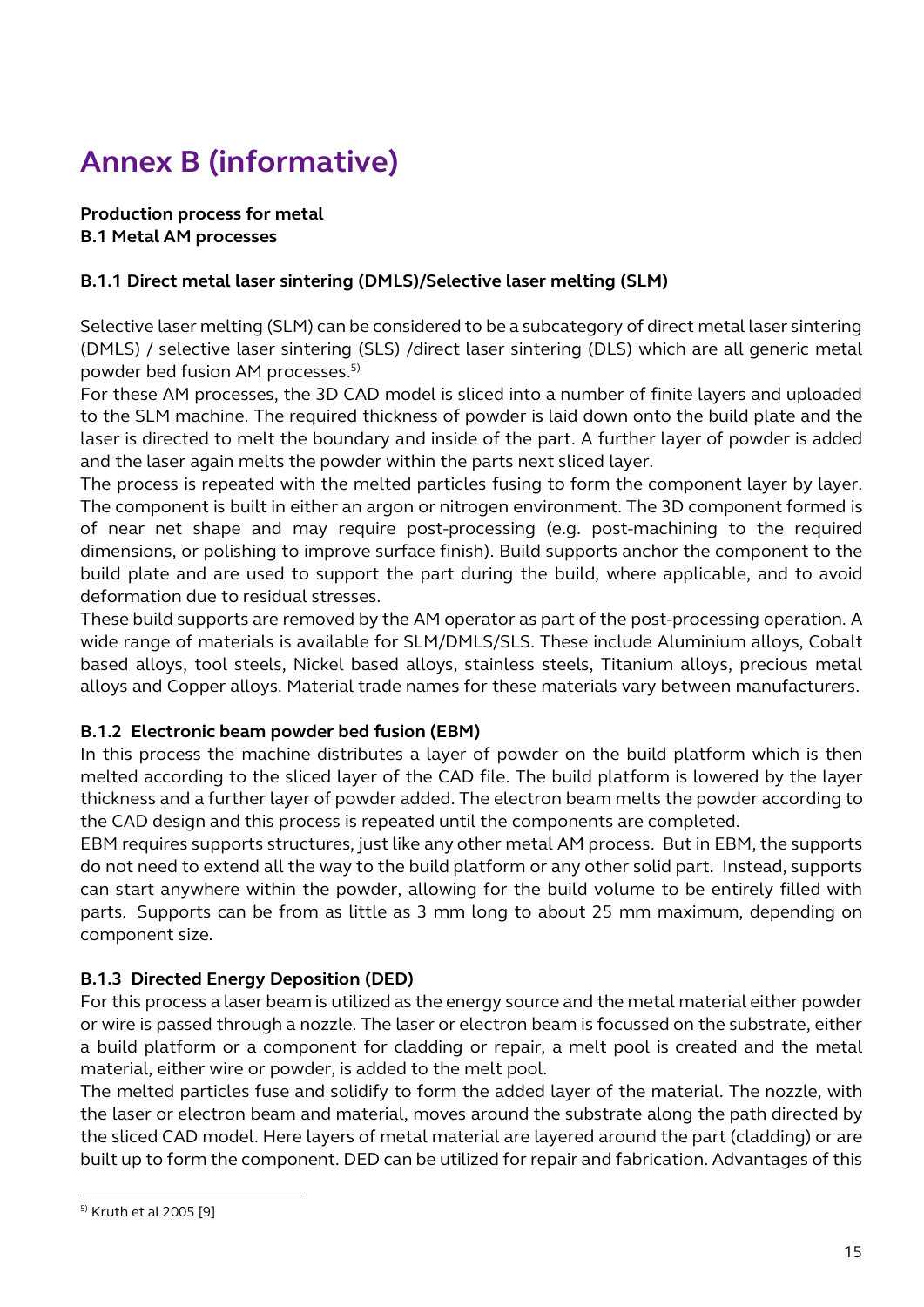# <span id="page-14-0"></span>**Annex B (informative)**

#### **Production process for metal B.1 Metal AM processes**

#### **B.1.1 Direct metal laser sintering (DMLS)/Selective laser melting (SLM)**

Selective laser melting (SLM) can be considered to be a subcategory of direct metal laser sintering (DMLS) / selective laser sintering (SLS) /direct laser sintering (DLS) which are all generic metal powder bed fusion AM processes.5)

For these AM processes, the 3D CAD model is sliced into a number of finite layers and uploaded to the SLM machine. The required thickness of powder is laid down onto the build plate and the laser is directed to melt the boundary and inside of the part. A further layer of powder is added and the laser again melts the powder within the parts next sliced layer.

The process is repeated with the melted particles fusing to form the component layer by layer. The component is built in either an argon or nitrogen environment. The 3D component formed is of near net shape and may require post-processing (e.g. post-machining to the required dimensions, or polishing to improve surface finish). Build supports anchor the component to the build plate and are used to support the part during the build, where applicable, and to avoid deformation due to residual stresses.

These build supports are removed by the AM operator as part of the post-processing operation. A wide range of materials is available for SLM/DMLS/SLS. These include Aluminium alloys, Cobalt based alloys, tool steels, Nickel based alloys, stainless steels, Titanium alloys, precious metal alloys and Copper alloys. Material trade names for these materials vary between manufacturers.

#### **B.1.2 Electronic beam powder bed fusion (EBM)**

In this process the machine distributes a layer of powder on the build platform which is then melted according to the sliced layer of the CAD file. The build platform is lowered by the layer thickness and a further layer of powder added. The electron beam melts the powder according to the CAD design and this process is repeated until the components are completed.

EBM requires supports structures, just like any other metal AM process. But in EBM, the supports do not need to extend all the way to the build platform or any other solid part. Instead, supports can start anywhere within the powder, allowing for the build volume to be entirely filled with parts. Supports can be from as little as 3 mm long to about 25 mm maximum, depending on component size.

#### **B.1.3 Directed Energy Deposition (DED)**

For this process a laser beam is utilized as the energy source and the metal material either powder or wire is passed through a nozzle. The laser or electron beam is focussed on the substrate, either a build platform or a component for cladding or repair, a melt pool is created and the metal material, either wire or powder, is added to the melt pool.

The melted particles fuse and solidify to form the added layer of the material. The nozzle, with the laser or electron beam and material, moves around the substrate along the path directed by the sliced CAD model. Here layers of metal material are layered around the part (cladding) or are built up to form the component. DED can be utilized for repair and fabrication. Advantages of this

-

<sup>5)</sup> Kruth et al 2005 [9]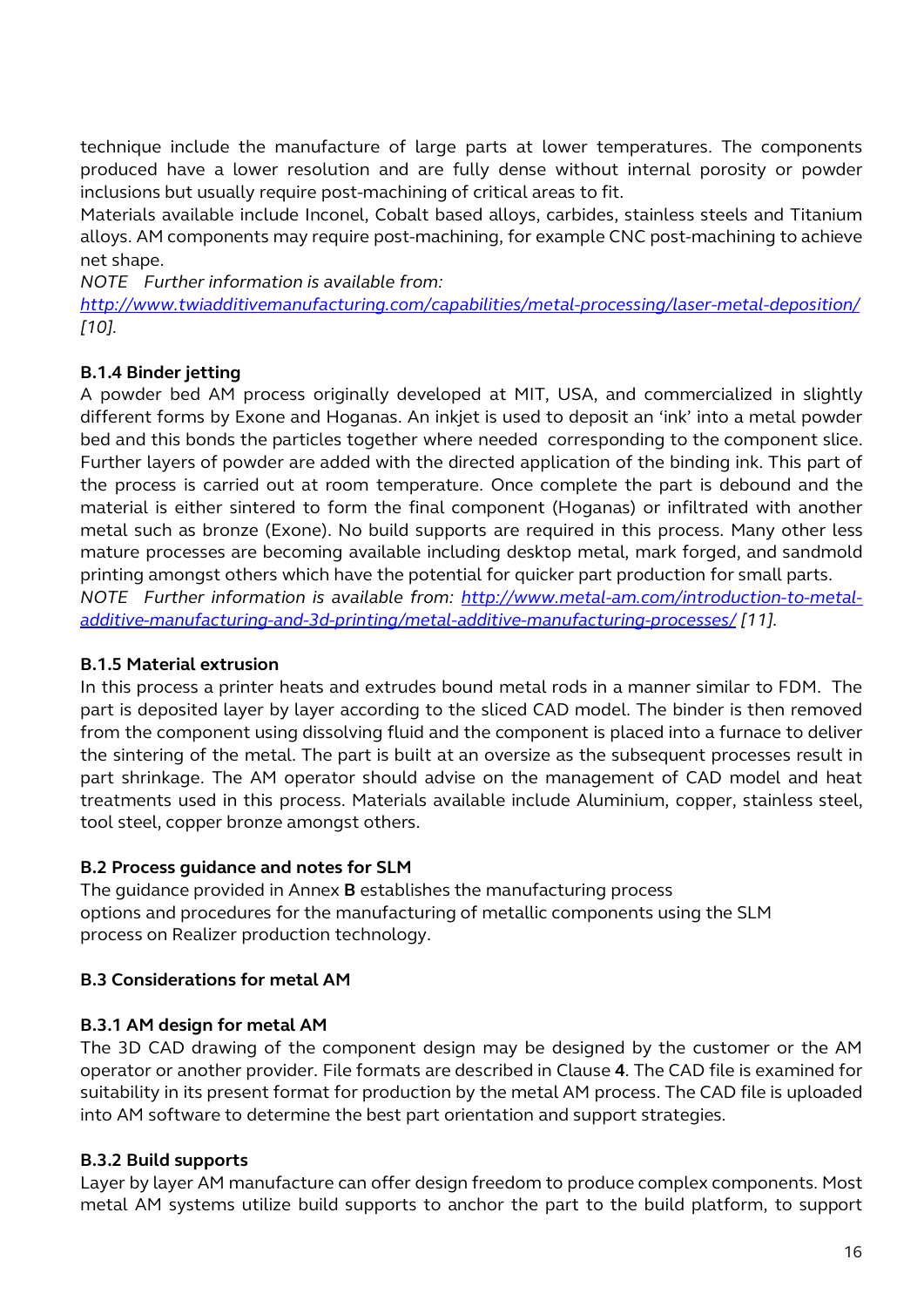technique include the manufacture of large parts at lower temperatures. The components produced have a lower resolution and are fully dense without internal porosity or powder inclusions but usually require post-machining of critical areas to fit.

Materials available include Inconel, Cobalt based alloys, carbides, stainless steels and Titanium alloys. AM components may require post-machining, for example CNC post-machining to achieve net shape.

*NOTE Further information is available from:* 

*http://www.twiadditivemanufacturing.com/capabilities/metal-processing/laser-metal-deposition/ [\[10\].](http://www.twiadditivemanufacturing.com/capabilities/metal-processing/laser-metal-deposition/)* 

#### **B.1.4 [Binder jetting](http://www.twiadditivemanufacturing.com/capabilities/metal-processing/laser-metal-deposition/)**

[A powder bed AM process originally developed at MIT, USA, and c](http://www.twiadditivemanufacturing.com/capabilities/metal-processing/laser-metal-deposition/)ommercialized in slightly different forms by Exone and Hoganas. An inkjet is used to deposit an 'ink' into a metal powder bed and this bonds the particles together where needed corresponding to the component slice. Further layers of powder are added with the directed application of the binding ink. This part of the process is carried out at room temperature. Once complete the part is debound and the material is either sintered to form the final component (Hoganas) or infiltrated with another metal such as bronze (Exone). No build supports are required in this process. Many other less mature processes are becoming available including desktop metal, mark forged, and sandmold printing amongst others which have the potential for quicker part production for small parts. *NOTE Further information is available from: http://www.metal-am.com/introduction-to-metaladditive-manufacturing-and-3d-printing/metal-additive-manufacturing-processes/ [\[11\].](http://www.metal-am.com/introduction-to-metal-additive-manufacturing-and-3d-printing/metal-additive-manufacturing-processes/)*

#### **B.1.5 [Material extrusion](http://www.metal-am.com/introduction-to-metal-additive-manufacturing-and-3d-printing/metal-additive-manufacturing-processes/)**

[In this process a printer heats and extrudes bound metal rods in a manner similar to FDM.](http://www.metal-am.com/introduction-to-metal-additive-manufacturing-and-3d-printing/metal-additive-manufacturing-processes/) The part is deposited layer by layer according to the sliced CAD model. The binder is then removed from the component using dissolving fluid and the component is placed into a furnace to deliver the sintering of the metal. The part is built at an oversize as the subsequent processes result in part shrinkage. The AM operator should advise on the management of CAD model and heat treatments used in this process. Materials available include Aluminium, copper, stainless steel, tool steel, copper bronze amongst others.

#### **B.2 Process guidance and notes for SLM**

The guidance provided in Annex **B** establishes the manufacturing process options and procedures for the manufacturing of metallic components using the SLM process on Realizer production technology.

#### **B.3 Considerations for metal AM**

#### **B.3.1 AM design for metal AM**

The 3D CAD drawing of the component design may be designed by the customer or the AM operator or another provider. File formats are described in Clause **4**. The CAD file is examined for suitability in its present format for production by the metal AM process. The CAD file is uploaded into AM software to determine the best part orientation and support strategies.

#### **B.3.2 Build supports**

Layer by layer AM manufacture can offer design freedom to produce complex components. Most metal AM systems utilize build supports to anchor the part to the build platform, to support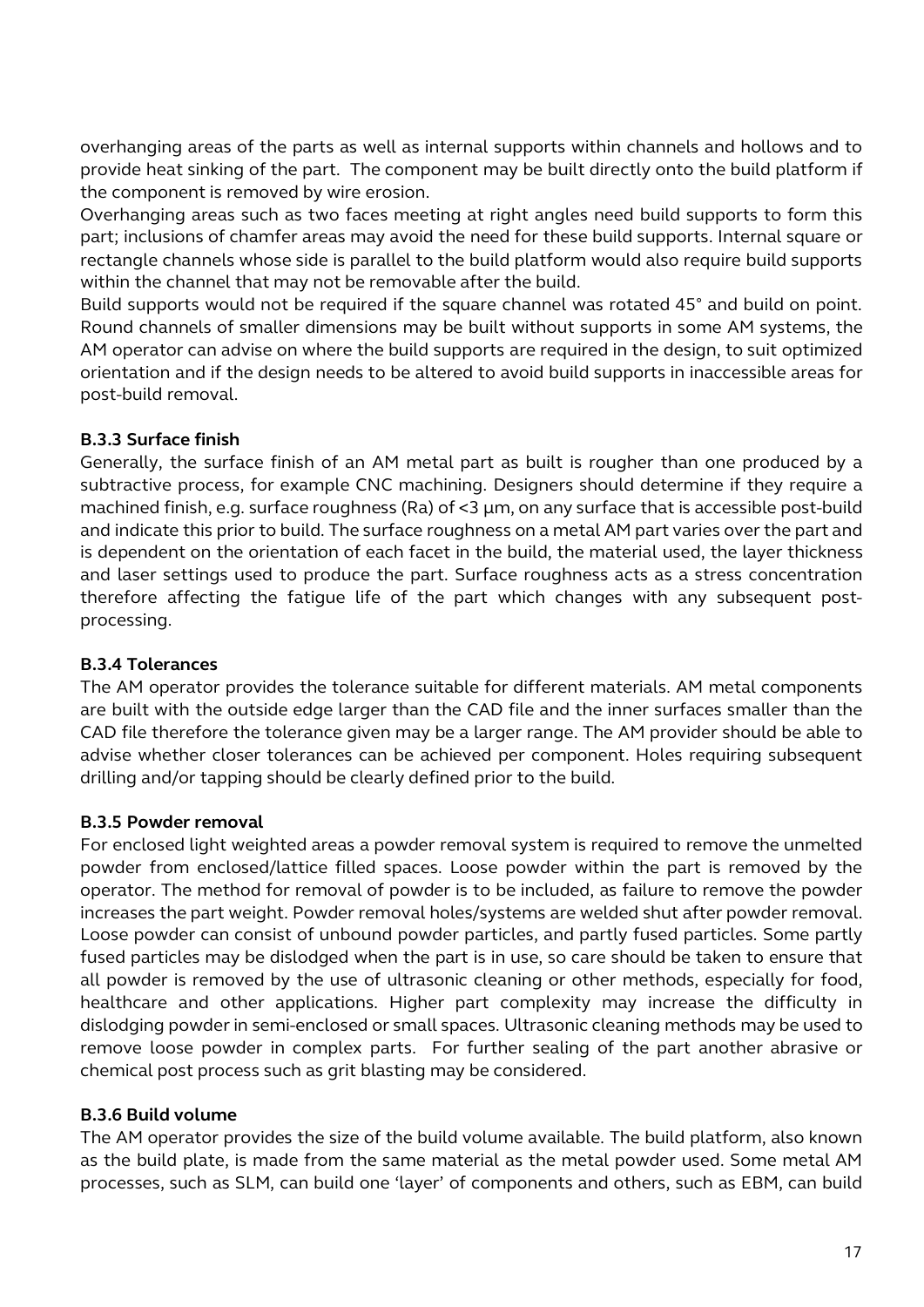overhanging areas of the parts as well as internal supports within channels and hollows and to provide heat sinking of the part. The component may be built directly onto the build platform if the component is removed by wire erosion.

Overhanging areas such as two faces meeting at right angles need build supports to form this part; inclusions of chamfer areas may avoid the need for these build supports. Internal square or rectangle channels whose side is parallel to the build platform would also require build supports within the channel that may not be removable after the build.

Build supports would not be required if the square channel was rotated 45° and build on point. Round channels of smaller dimensions may be built without supports in some AM systems, the AM operator can advise on where the build supports are required in the design, to suit optimized orientation and if the design needs to be altered to avoid build supports in inaccessible areas for post-build removal.

#### **B.3.3 Surface finish**

Generally, the surface finish of an AM metal part as built is rougher than one produced by a subtractive process, for example CNC machining. Designers should determine if they require a machined finish, e.g. surface roughness (Ra) of <3 µm, on any surface that is accessible post-build and indicate this prior to build. The surface roughness on a metal AM part varies over the part and is dependent on the orientation of each facet in the build, the material used, the layer thickness and laser settings used to produce the part. Surface roughness acts as a stress concentration therefore affecting the fatigue life of the part which changes with any subsequent postprocessing.

#### **B.3.4 Tolerances**

The AM operator provides the tolerance suitable for different materials. AM metal components are built with the outside edge larger than the CAD file and the inner surfaces smaller than the CAD file therefore the tolerance given may be a larger range. The AM provider should be able to advise whether closer tolerances can be achieved per component. Holes requiring subsequent drilling and/or tapping should be clearly defined prior to the build.

#### **B.3.5 Powder removal**

For enclosed light weighted areas a powder removal system is required to remove the unmelted powder from enclosed/lattice filled spaces. Loose powder within the part is removed by the operator. The method for removal of powder is to be included, as failure to remove the powder increases the part weight. Powder removal holes/systems are welded shut after powder removal. Loose powder can consist of unbound powder particles, and partly fused particles. Some partly fused particles may be dislodged when the part is in use, so care should be taken to ensure that all powder is removed by the use of ultrasonic cleaning or other methods, especially for food, healthcare and other applications. Higher part complexity may increase the difficulty in dislodging powder in semi-enclosed or small spaces. Ultrasonic cleaning methods may be used to remove loose powder in complex parts. For further sealing of the part another abrasive or chemical post process such as grit blasting may be considered.

#### **B.3.6 Build volume**

The AM operator provides the size of the build volume available. The build platform, also known as the build plate, is made from the same material as the metal powder used. Some metal AM processes, such as SLM, can build one 'layer' of components and others, such as EBM, can build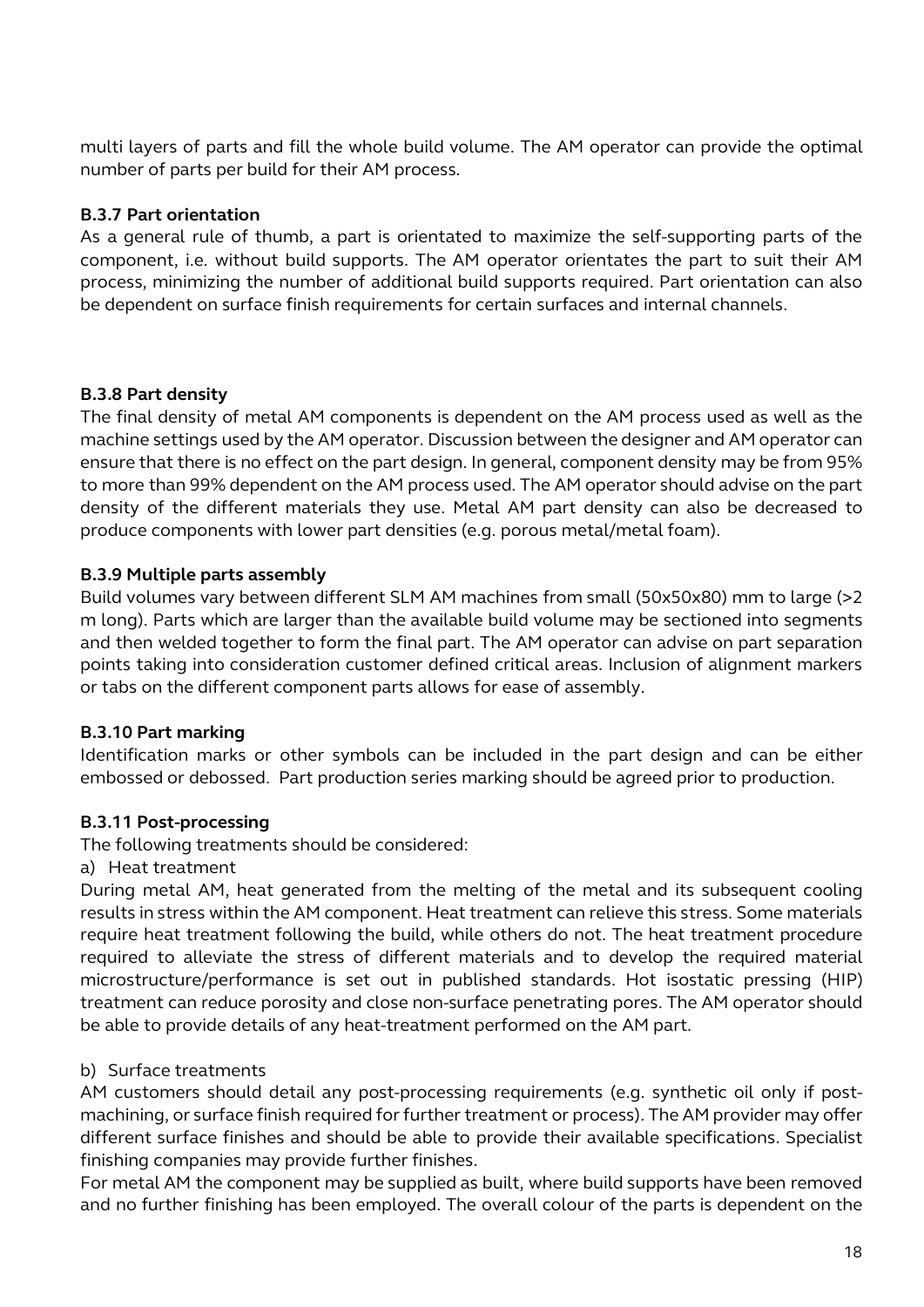multi layers of parts and fill the whole build volume. The AM operator can provide the optimal number of parts per build for their AM process.

#### **B.3.7 Part orientation**

As a general rule of thumb, a part is orientated to maximize the self-supporting parts of the component, i.e. without build supports. The AM operator orientates the part to suit their AM process, minimizing the number of additional build supports required. Part orientation can also be dependent on surface finish requirements for certain surfaces and internal channels.

#### **B.3.8 Part density**

The final density of metal AM components is dependent on the AM process used as well as the machine settings used by the AM operator. Discussion between the designer and AM operator can ensure that there is no effect on the part design. In general, component density may be from 95% to more than 99% dependent on the AM process used. The AM operator should advise on the part density of the different materials they use. Metal AM part density can also be decreased to produce components with lower part densities (e.g. porous metal/metal foam).

#### **B.3.9 Multiple parts assembly**

Build volumes vary between different SLM AM machines from small (50x50x80) mm to large (>2 m long). Parts which are larger than the available build volume may be sectioned into segments and then welded together to form the final part. The AM operator can advise on part separation points taking into consideration customer defined critical areas. Inclusion of alignment markers or tabs on the different component parts allows for ease of assembly.

#### **B.3.10 Part marking**

Identification marks or other symbols can be included in the part design and can be either embossed or debossed. Part production series marking should be agreed prior to production.

#### **B.3.11 Post-processing**

The following treatments should be considered:

a) Heat treatment

During metal AM, heat generated from the melting of the metal and its subsequent cooling results in stress within the AM component. Heat treatment can relieve this stress. Some materials require heat treatment following the build, while others do not. The heat treatment procedure required to alleviate the stress of different materials and to develop the required material microstructure/performance is set out in published standards. Hot isostatic pressing (HIP) treatment can reduce porosity and close non-surface penetrating pores. The AM operator should be able to provide details of any heat-treatment performed on the AM part.

#### b) Surface treatments

AM customers should detail any post-processing requirements (e.g. synthetic oil only if postmachining, or surface finish required for further treatment or process). The AM provider may offer different surface finishes and should be able to provide their available specifications. Specialist finishing companies may provide further finishes.

For metal AM the component may be supplied as built, where build supports have been removed and no further finishing has been employed. The overall colour of the parts is dependent on the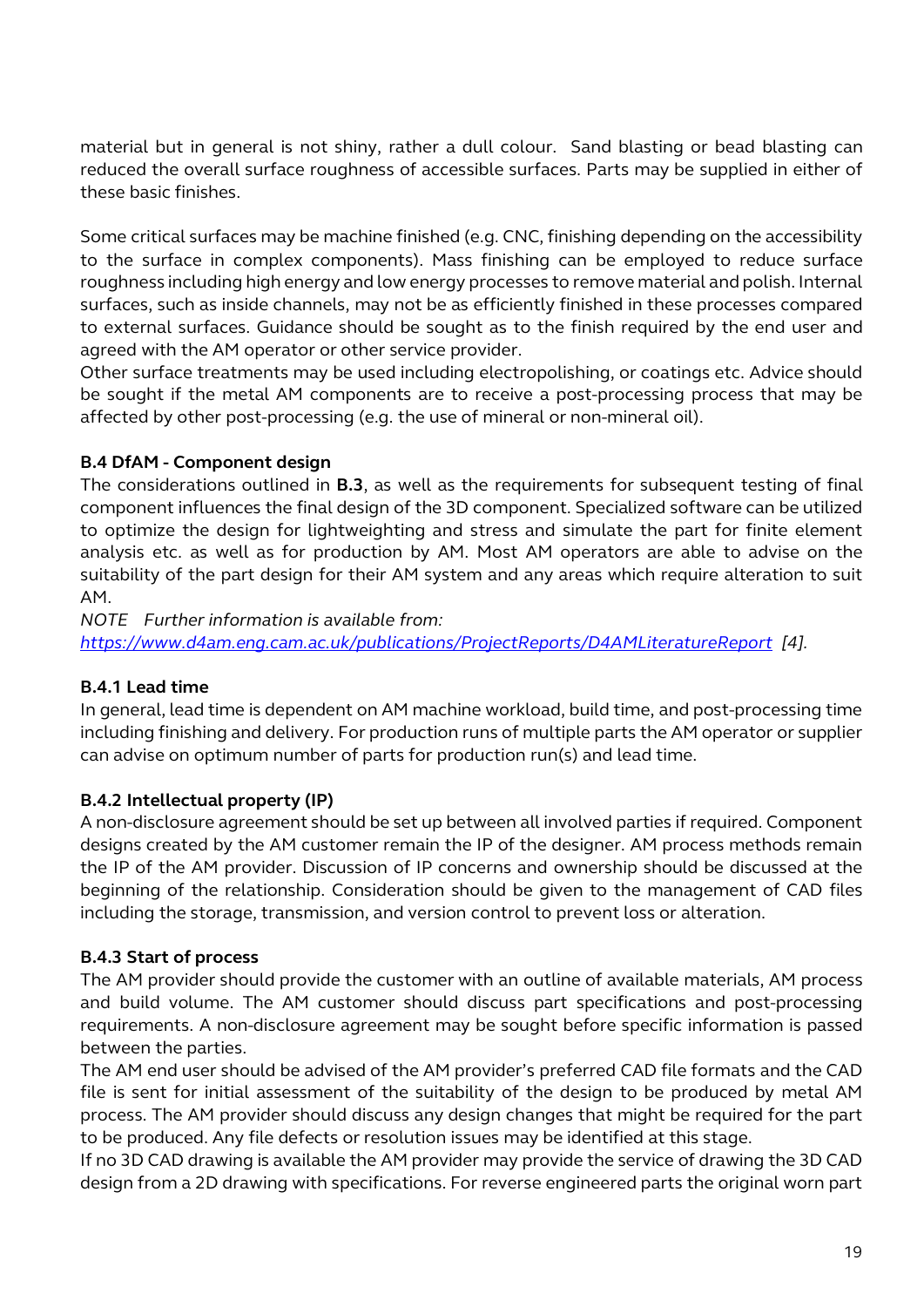material but in general is not shiny, rather a dull colour. Sand blasting or bead blasting can reduced the overall surface roughness of accessible surfaces. Parts may be supplied in either of these basic finishes.

Some critical surfaces may be machine finished (e.g. CNC, finishing depending on the accessibility to the surface in complex components). Mass finishing can be employed to reduce surface roughness including high energy and low energy processes to remove material and polish. Internal surfaces, such as inside channels, may not be as efficiently finished in these processes compared to external surfaces. Guidance should be sought as to the finish required by the end user and agreed with the AM operator or other service provider.

Other surface treatments may be used including electropolishing, or coatings etc. Advice should be sought if the metal AM components are to receive a post-processing process that may be affected by other post-processing (e.g. the use of mineral or non-mineral oil).

#### **B.4 DfAM - Component design**

The considerations outlined in **B.3**, as well as the requirements for subsequent testing of final component influences the final design of the 3D component. Specialized software can be utilized to optimize the design for lightweighting and stress and simulate the part for finite element analysis etc. as well as for production by AM. Most AM operators are able to advise on the suitability of the part design for their AM system and any areas which require alteration to suit AM.

*NOTE Further information is available from:* 

*https://www.d4am.eng.cam.ac.uk/publications/ProjectReports/D4AMLiteratureRepor[t \[4\].](https://www.d4am.eng.cam.ac.uk/publications/ProjectReports/D4AMLiteratureReport)*

#### **B.4.1 [Lead time](https://www.d4am.eng.cam.ac.uk/publications/ProjectReports/D4AMLiteratureReport)**

[In general, lead time is dependent on AM machine worklo](https://www.d4am.eng.cam.ac.uk/publications/ProjectReports/D4AMLiteratureReport)ad, build time, and post-processing time including finishing and delivery. For production runs of multiple parts the AM operator or supplier can advise on optimum number of parts for production run(s) and lead time.

#### **B.4.2 Intellectual property (IP)**

A non-disclosure agreement should be set up between all involved parties if required. Component designs created by the AM customer remain the IP of the designer. AM process methods remain the IP of the AM provider. Discussion of IP concerns and ownership should be discussed at the beginning of the relationship. Consideration should be given to the management of CAD files including the storage, transmission, and version control to prevent loss or alteration.

#### **B.4.3 Start of process**

The AM provider should provide the customer with an outline of available materials, AM process and build volume. The AM customer should discuss part specifications and post-processing requirements. A non-disclosure agreement may be sought before specific information is passed between the parties.

The AM end user should be advised of the AM provider's preferred CAD file formats and the CAD file is sent for initial assessment of the suitability of the design to be produced by metal AM process. The AM provider should discuss any design changes that might be required for the part to be produced. Any file defects or resolution issues may be identified at this stage.

If no 3D CAD drawing is available the AM provider may provide the service of drawing the 3D CAD design from a 2D drawing with specifications. For reverse engineered parts the original worn part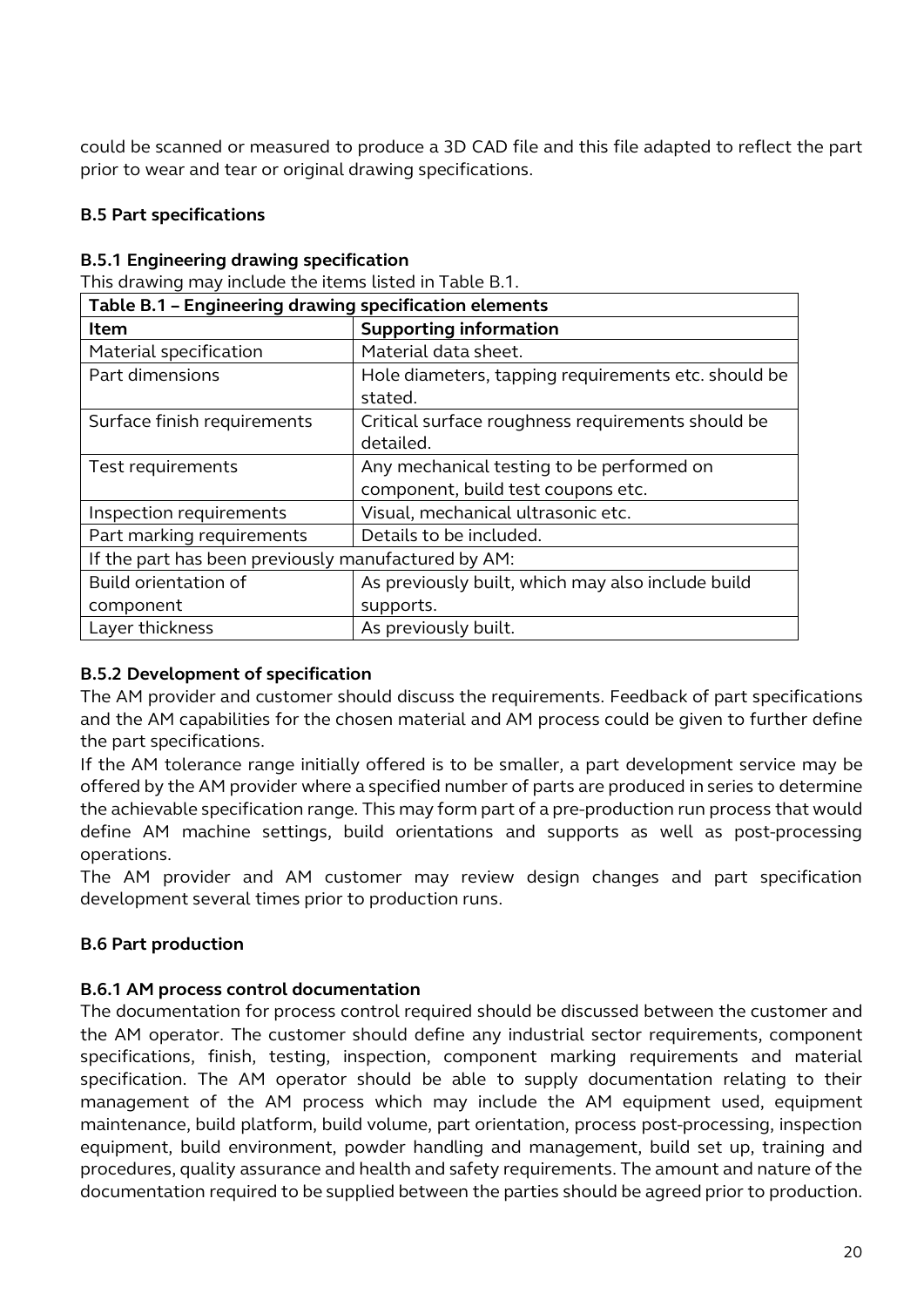could be scanned or measured to produce a 3D CAD file and this file adapted to reflect the part prior to wear and tear or original drawing specifications.

#### **B.5 Part specifications**

#### **B.5.1 Engineering drawing specification**

This drawing may include the items listed in Table B.1.

| Table B.1 - Engineering drawing specification elements |                                                                                 |  |
|--------------------------------------------------------|---------------------------------------------------------------------------------|--|
| Item                                                   | <b>Supporting information</b>                                                   |  |
| Material specification                                 | Material data sheet.                                                            |  |
| Part dimensions                                        | Hole diameters, tapping requirements etc. should be<br>stated.                  |  |
| Surface finish requirements                            | Critical surface roughness requirements should be<br>detailed.                  |  |
| Test requirements                                      | Any mechanical testing to be performed on<br>component, build test coupons etc. |  |
| Inspection requirements                                | Visual, mechanical ultrasonic etc.                                              |  |
| Part marking requirements                              | Details to be included.                                                         |  |
| If the part has been previously manufactured by AM:    |                                                                                 |  |
| Build orientation of                                   | As previously built, which may also include build                               |  |
| component                                              | supports.                                                                       |  |
| Layer thickness                                        | As previously built.                                                            |  |

#### **B.5.2 Development of specification**

The AM provider and customer should discuss the requirements. Feedback of part specifications and the AM capabilities for the chosen material and AM process could be given to further define the part specifications.

If the AM tolerance range initially offered is to be smaller, a part development service may be offered by the AM provider where a specified number of parts are produced in series to determine the achievable specification range. This may form part of a pre-production run process that would define AM machine settings, build orientations and supports as well as post-processing operations.

The AM provider and AM customer may review design changes and part specification development several times prior to production runs.

#### **B.6 Part production**

#### **B.6.1 AM process control documentation**

The documentation for process control required should be discussed between the customer and the AM operator. The customer should define any industrial sector requirements, component specifications, finish, testing, inspection, component marking requirements and material specification. The AM operator should be able to supply documentation relating to their management of the AM process which may include the AM equipment used, equipment maintenance, build platform, build volume, part orientation, process post-processing, inspection equipment, build environment, powder handling and management, build set up, training and procedures, quality assurance and health and safety requirements. The amount and nature of the documentation required to be supplied between the parties should be agreed prior to production.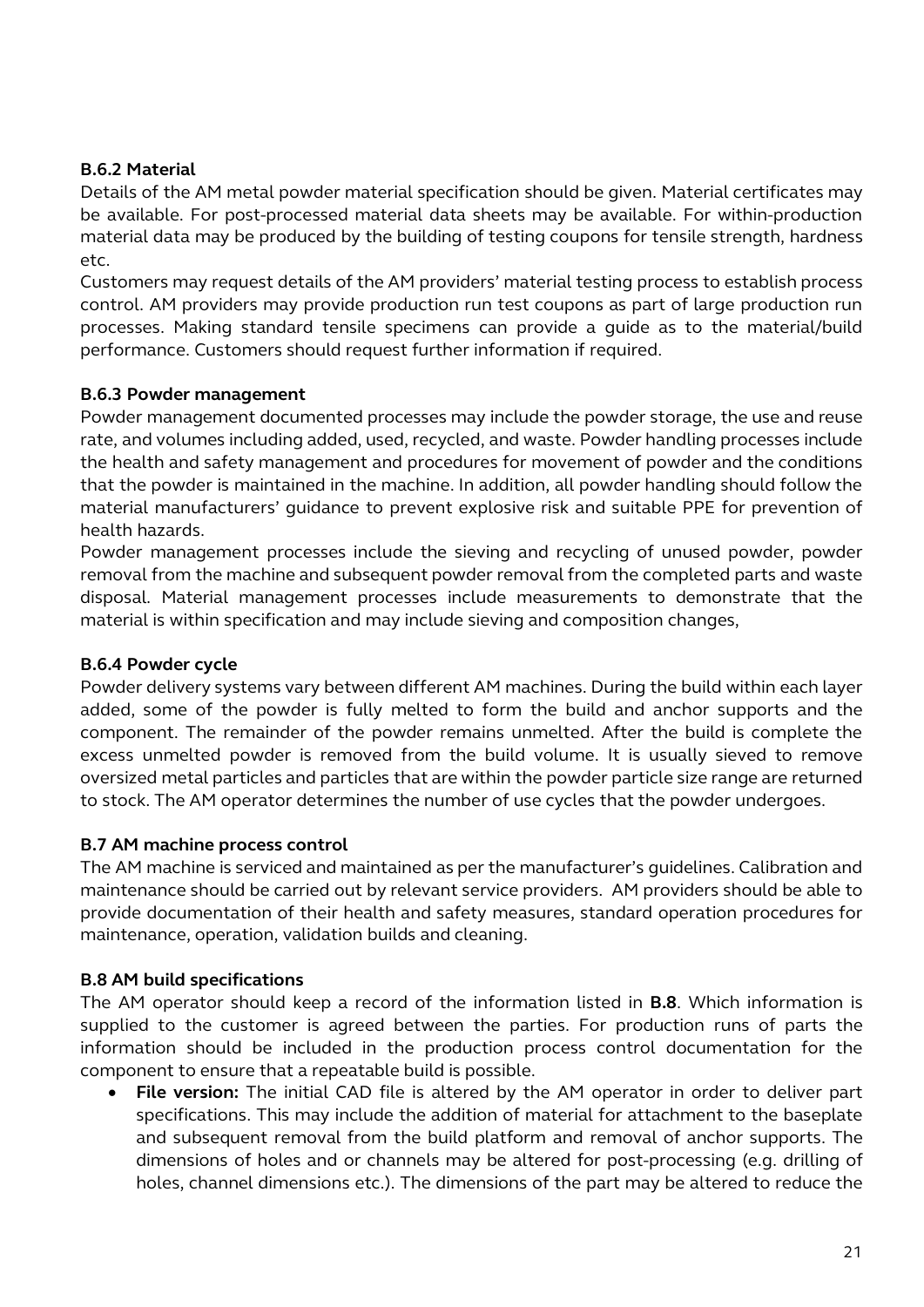#### **B.6.2 Material**

Details of the AM metal powder material specification should be given. Material certificates may be available. For post-processed material data sheets may be available. For within-production material data may be produced by the building of testing coupons for tensile strength, hardness etc.

Customers may request details of the AM providers' material testing process to establish process control. AM providers may provide production run test coupons as part of large production run processes. Making standard tensile specimens can provide a guide as to the material/build performance. Customers should request further information if required.

#### **B.6.3 Powder management**

Powder management documented processes may include the powder storage, the use and reuse rate, and volumes including added, used, recycled, and waste. Powder handling processes include the health and safety management and procedures for movement of powder and the conditions that the powder is maintained in the machine. In addition, all powder handling should follow the material manufacturers' guidance to prevent explosive risk and suitable PPE for prevention of health hazards.

Powder management processes include the sieving and recycling of unused powder, powder removal from the machine and subsequent powder removal from the completed parts and waste disposal. Material management processes include measurements to demonstrate that the material is within specification and may include sieving and composition changes,

#### **B.6.4 Powder cycle**

Powder delivery systems vary between different AM machines. During the build within each layer added, some of the powder is fully melted to form the build and anchor supports and the component. The remainder of the powder remains unmelted. After the build is complete the excess unmelted powder is removed from the build volume. It is usually sieved to remove oversized metal particles and particles that are within the powder particle size range are returned to stock. The AM operator determines the number of use cycles that the powder undergoes.

#### **B.7 AM machine process control**

The AM machine is serviced and maintained as per the manufacturer's guidelines. Calibration and maintenance should be carried out by relevant service providers. AM providers should be able to provide documentation of their health and safety measures, standard operation procedures for maintenance, operation, validation builds and cleaning.

#### **B.8 AM build specifications**

The AM operator should keep a record of the information listed in **B.8**. Which information is supplied to the customer is agreed between the parties. For production runs of parts the information should be included in the production process control documentation for the component to ensure that a repeatable build is possible.

• **File version:** The initial CAD file is altered by the AM operator in order to deliver part specifications. This may include the addition of material for attachment to the baseplate and subsequent removal from the build platform and removal of anchor supports. The dimensions of holes and or channels may be altered for post-processing (e.g. drilling of holes, channel dimensions etc.). The dimensions of the part may be altered to reduce the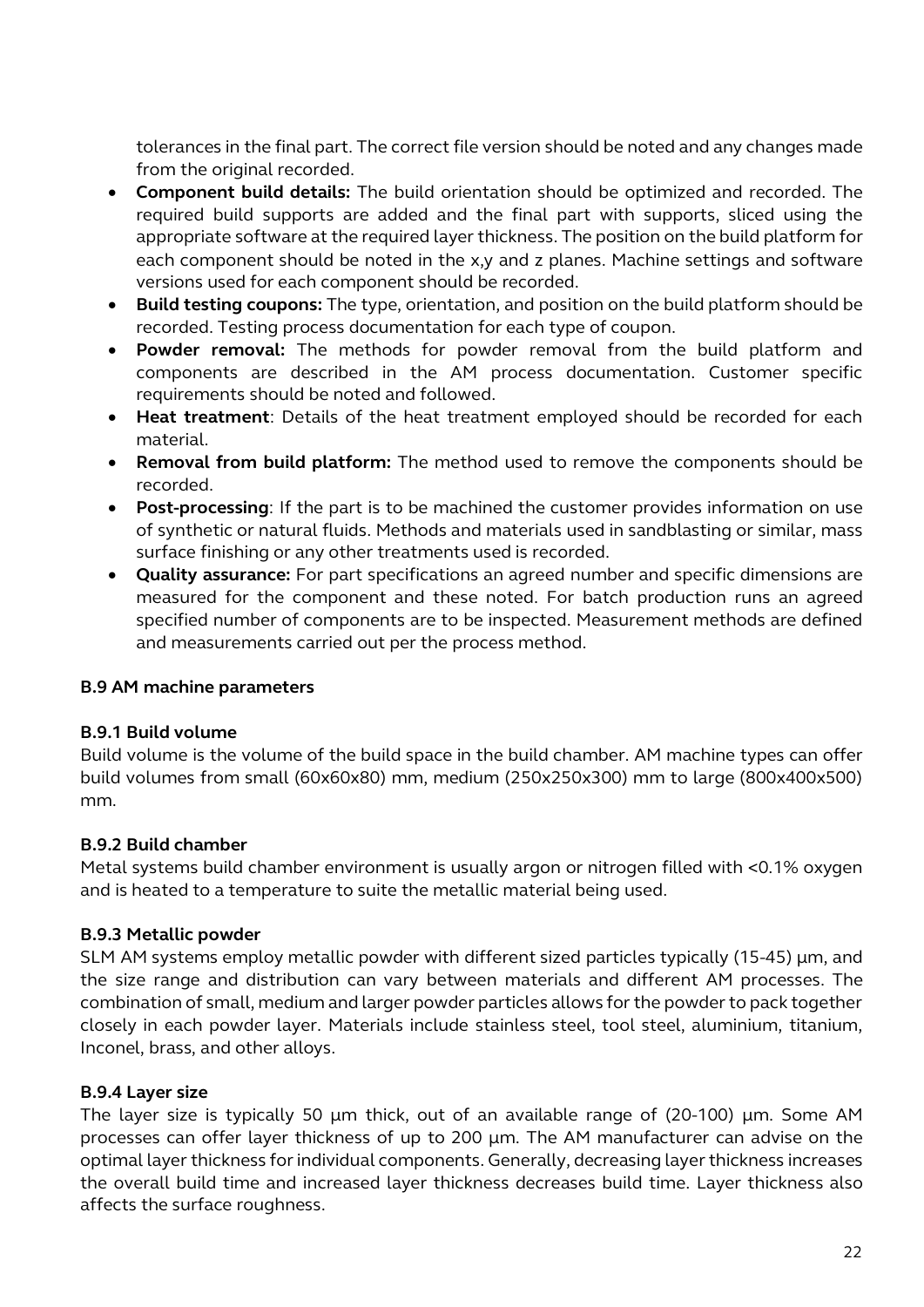tolerances in the final part. The correct file version should be noted and any changes made from the original recorded.

- **Component build details:** The build orientation should be optimized and recorded. The required build supports are added and the final part with supports, sliced using the appropriate software at the required layer thickness. The position on the build platform for each component should be noted in the x,y and z planes. Machine settings and software versions used for each component should be recorded.
- **Build testing coupons:** The type, orientation, and position on the build platform should be recorded. Testing process documentation for each type of coupon.
- **Powder removal:** The methods for powder removal from the build platform and components are described in the AM process documentation. Customer specific requirements should be noted and followed.
- **Heat treatment**: Details of the heat treatment employed should be recorded for each material.
- **Removal from build platform:** The method used to remove the components should be recorded.
- **Post-processing**: If the part is to be machined the customer provides information on use of synthetic or natural fluids. Methods and materials used in sandblasting or similar, mass surface finishing or any other treatments used is recorded.
- **Quality assurance:** For part specifications an agreed number and specific dimensions are measured for the component and these noted. For batch production runs an agreed specified number of components are to be inspected. Measurement methods are defined and measurements carried out per the process method.

#### **B.9 AM machine parameters**

#### **B.9.1 Build volume**

Build volume is the volume of the build space in the build chamber. AM machine types can offer build volumes from small (60x60x80) mm, medium (250x250x300) mm to large (800x400x500) mm.

#### **B.9.2 Build chamber**

Metal systems build chamber environment is usually argon or nitrogen filled with <0.1% oxygen and is heated to a temperature to suite the metallic material being used.

#### **B.9.3 Metallic powder**

SLM AM systems employ metallic powder with different sized particles typically (15-45) µm, and the size range and distribution can vary between materials and different AM processes. The combination of small, medium and larger powder particles allows for the powder to pack together closely in each powder layer. Materials include stainless steel, tool steel, aluminium, titanium, Inconel, brass, and other alloys.

#### **B.9.4 Layer size**

The layer size is typically 50 µm thick, out of an available range of (20-100) µm. Some AM processes can offer layer thickness of up to 200 µm. The AM manufacturer can advise on the optimal layer thickness for individual components. Generally, decreasing layer thickness increases the overall build time and increased layer thickness decreases build time. Layer thickness also affects the surface roughness.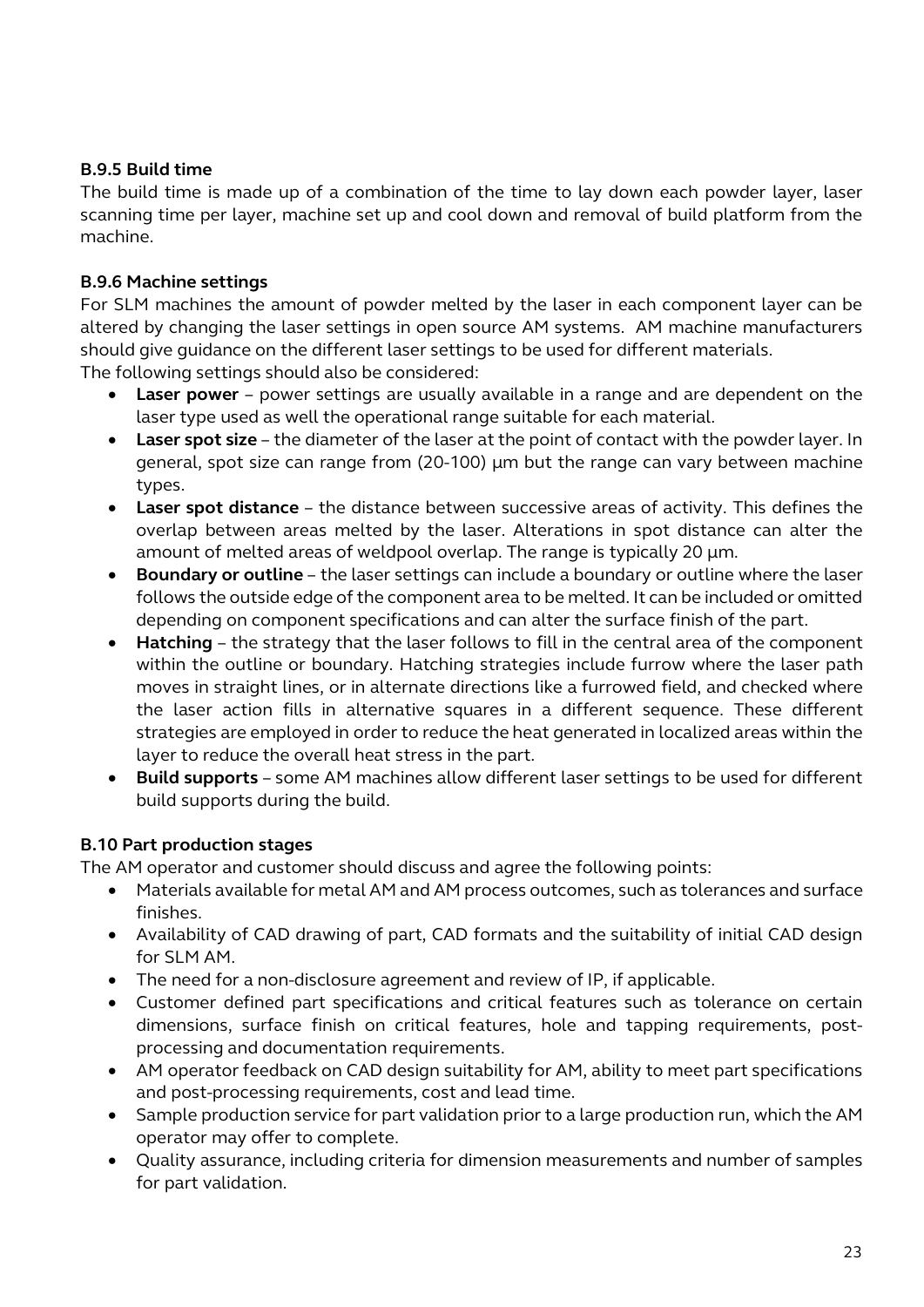#### **B.9.5 Build time**

The build time is made up of a combination of the time to lay down each powder layer, laser scanning time per layer, machine set up and cool down and removal of build platform from the machine.

#### **B.9.6 Machine settings**

For SLM machines the amount of powder melted by the laser in each component layer can be altered by changing the laser settings in open source AM systems. AM machine manufacturers should give guidance on the different laser settings to be used for different materials.

The following settings should also be considered:

- **Laser power** power settings are usually available in a range and are dependent on the laser type used as well the operational range suitable for each material.
- **Laser spot size**  the diameter of the laser at the point of contact with the powder layer. In general, spot size can range from (20-100) µm but the range can vary between machine types.
- **Laser spot distance**  the distance between successive areas of activity. This defines the overlap between areas melted by the laser. Alterations in spot distance can alter the amount of melted areas of weldpool overlap. The range is typically 20  $\mu$ m.
- **Boundary or outline**  the laser settings can include a boundary or outline where the laser follows the outside edge of the component area to be melted. It can be included or omitted depending on component specifications and can alter the surface finish of the part.
- **Hatching** the strategy that the laser follows to fill in the central area of the component within the outline or boundary. Hatching strategies include furrow where the laser path moves in straight lines, or in alternate directions like a furrowed field, and checked where the laser action fills in alternative squares in a different sequence. These different strategies are employed in order to reduce the heat generated in localized areas within the layer to reduce the overall heat stress in the part.
- **Build supports**  some AM machines allow different laser settings to be used for different build supports during the build.

#### **B.10 Part production stages**

The AM operator and customer should discuss and agree the following points:

- Materials available for metal AM and AM process outcomes, such as tolerances and surface finishes.
- Availability of CAD drawing of part, CAD formats and the suitability of initial CAD design for SLM AM.
- The need for a non-disclosure agreement and review of IP, if applicable.
- Customer defined part specifications and critical features such as tolerance on certain dimensions, surface finish on critical features, hole and tapping requirements, postprocessing and documentation requirements.
- AM operator feedback on CAD design suitability for AM, ability to meet part specifications and post-processing requirements, cost and lead time.
- Sample production service for part validation prior to a large production run, which the AM operator may offer to complete.
- Quality assurance, including criteria for dimension measurements and number of samples for part validation.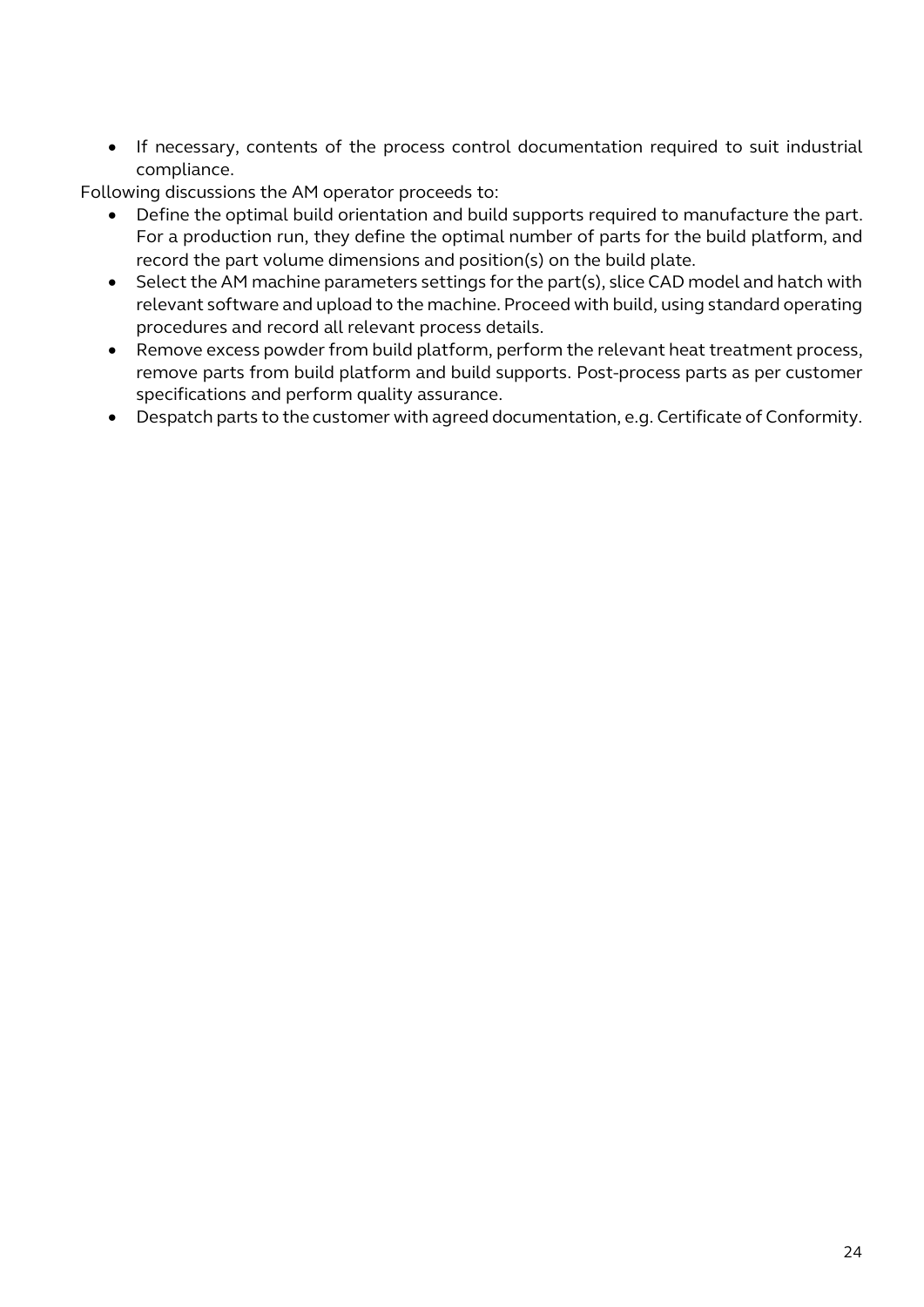• If necessary, contents of the process control documentation required to suit industrial compliance.

Following discussions the AM operator proceeds to:

- Define the optimal build orientation and build supports required to manufacture the part. For a production run, they define the optimal number of parts for the build platform, and record the part volume dimensions and position(s) on the build plate.
- Select the AM machine parameters settings for the part(s), slice CAD model and hatch with relevant software and upload to the machine. Proceed with build, using standard operating procedures and record all relevant process details.
- Remove excess powder from build platform, perform the relevant heat treatment process, remove parts from build platform and build supports. Post-process parts as per customer specifications and perform quality assurance.
- Despatch parts to the customer with agreed documentation, e.g. Certificate of Conformity.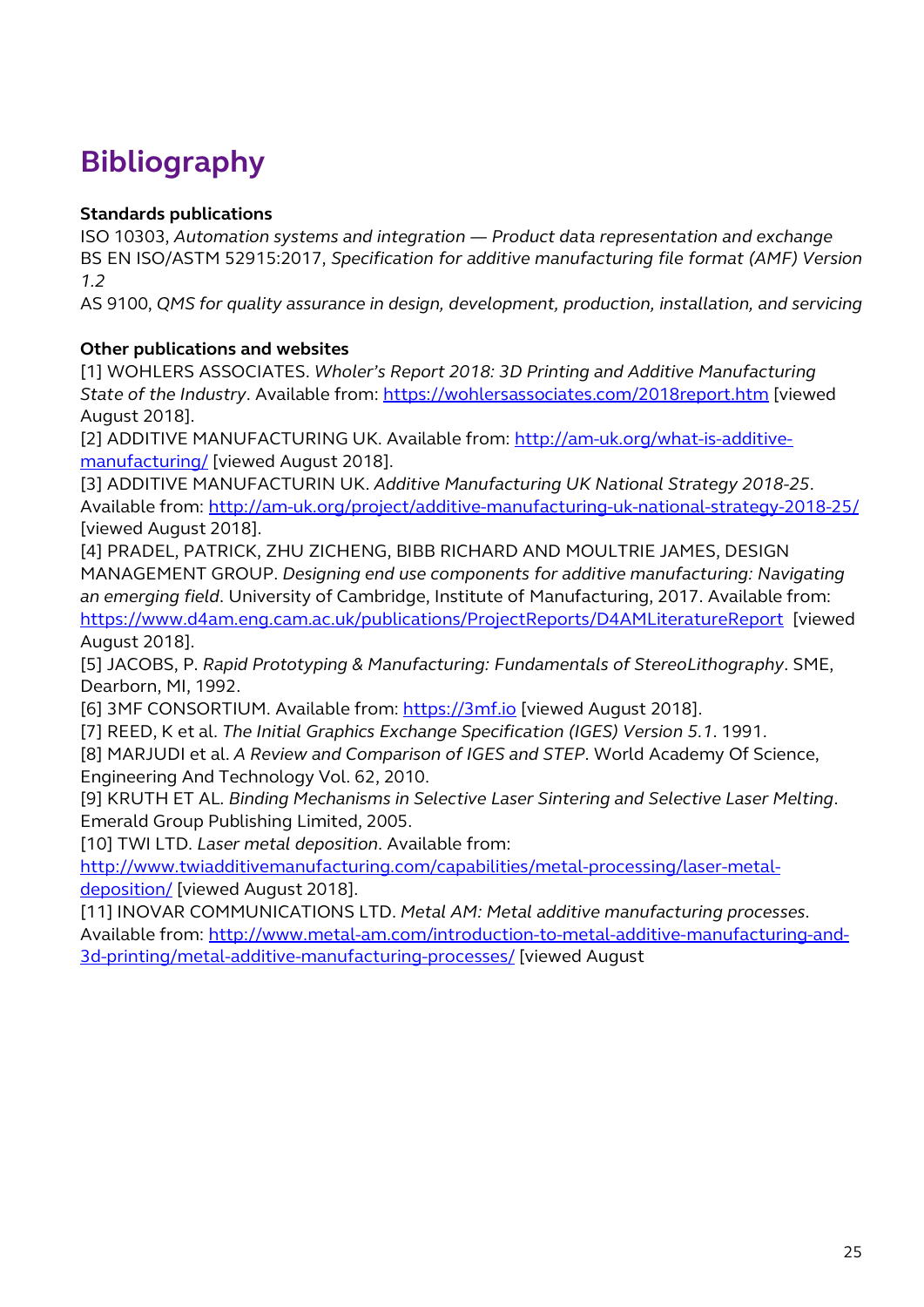# **Bibliography**

#### **Standards publications**

ISO 10303, *Automation systems and integration — Product data representation and exchange* BS EN ISO/ASTM 52915:2017, *Specification for additive manufacturing file format (AMF) Version 1.2*

AS 9100, *QMS for quality assurance in design, development, production, installation, and servicing*

#### **Other publications and websites**

[1] WOHLERS ASSOCIATES. *Wholer's Report 2018: 3D Printing and Additive Manufacturing*  State of the *Industry*. Available from: https://wohlersassociates.com/2018report.htm</u> [\[viewed](https://wohlersassociates.com/2018report.htm) [August 2018\].](https://wohlersassociates.com/2018report.htm) 

[\[2\] ADDITIVE MANUFAC](https://wohlersassociates.com/2018report.htm)TURING UK. Available from: http://am-uk.org/what-is-additivemanufacturing/ [\[viewed August 2018\].](http://am-uk.org/what-is-additive-manufacturing/) 

[\[3\] ADDITIVE MANUFACTURI](http://am-uk.org/what-is-additive-manufacturing/)N UK. *Additive Manufacturing UK National Strategy 2018-25*. Available from: http://am-uk.org/project/additive-manufacturing-uk-national-strategy-2018-25/ [\[viewed August 2018\].](http://am-uk.org/project/additive-manufacturing-uk-national-strategy-2018-25/)

[\[4\] PRADEL, PATRICK, ZHU ZICHENG, BIBB RICHARD AND MOU](http://am-uk.org/project/additive-manufacturing-uk-national-strategy-2018-25/)LTRIE JAMES, DESIGN MANAGEMENT GROUP. *Designing end use components for additive manufacturing: Navigating an emerging field*. University of Cambridge, Institute of Manufacturing, 2017. Available from: https://www.d4am.eng.cam.ac.uk/publications/ProjectReports/D4AMLiteratureRepor[t \[viewed](https://www.d4am.eng.cam.ac.uk/publications/ProjectReports/D4AMLiteratureReport)

[August 2018\].](https://www.d4am.eng.cam.ac.uk/publications/ProjectReports/D4AMLiteratureReport)

[5] JACOBS, P. *[Rapid Prototyping & Manufacturing: Funda](https://www.d4am.eng.cam.ac.uk/publications/ProjectReports/D4AMLiteratureReport)mentals of StereoLithography*. SME, Dearborn, MI, 1992.

[6] 3MF CONSORTIUM. Available from: https://3mf.io [\[viewed Augus](https://3mf.io/)t 2018].

[7] REED, K et al. *The Initial Graphics Exchange Specification (IGES) Version 5.1*. 1991.

[8] MARJUDI et al. *A Review and Comparison of IGES and STEP*. World Academy Of Science, Engineering And Technology Vol. 62, 2010.

[9] KRUTH ET AL. *Binding Mechanisms in Selective Laser Sintering and Selective Laser Melting*. Emerald Group Publishing Limited, 2005.

[10] TWI LTD. *Laser metal deposition*. Available from:

http://www.twiadditivemanufacturing.com/capabilities/metal-processing/laser-metal-deposition/ [\[viewed August 2018\].](http://www.twiadditivemanufacturing.com/capabilities/metal-processing/laser-metal-deposition/)

[11] INOVAR COMMUNICATIONS LTD. *[Metal AM: Metal additive manufacturing](http://www.twiadditivemanufacturing.com/capabilities/metal-processing/laser-metal-deposition/) processes*. Available from: http://www.metal-am.com/introduction-to-metal-additive-manufacturing-and-3d-printing/metal-additive-manufacturing-processes/ [\[viewed August](http://www.metal-am.com/introduction-to-metal-additive-manufacturing-and-3d-printing/metal-additive-manufacturing-processes/)